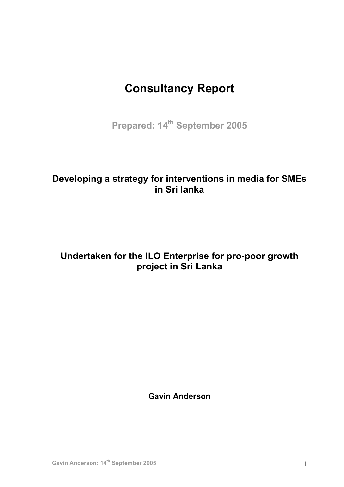# **Consultancy Report**

Prepared: 14<sup>th</sup> September 2005

# **Developing a strategy for interventions in media for SMEs in Sri lanka**

# **Undertaken for the ILO Enterprise for pro-poor growth project in Sri Lanka**

**Gavin Anderson**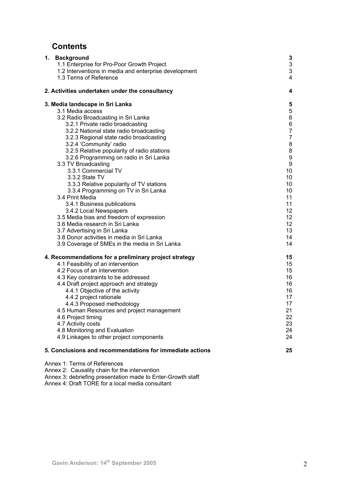# **Contents**

| 1. Background<br>1.1 Enterprise for Pro-Poor Growth Project<br>1.2 Interventions in media and enterprise development<br>1.3 Terms of Reference                                                                                                                                                                                                                                                                                                                                                                                                                                                                                                                                                                                                                                           | 3<br>$\ensuremath{\mathsf{3}}$<br>3<br>4                                                                                                                                                  |
|------------------------------------------------------------------------------------------------------------------------------------------------------------------------------------------------------------------------------------------------------------------------------------------------------------------------------------------------------------------------------------------------------------------------------------------------------------------------------------------------------------------------------------------------------------------------------------------------------------------------------------------------------------------------------------------------------------------------------------------------------------------------------------------|-------------------------------------------------------------------------------------------------------------------------------------------------------------------------------------------|
| 2. Activities undertaken under the consultancy                                                                                                                                                                                                                                                                                                                                                                                                                                                                                                                                                                                                                                                                                                                                           | 4                                                                                                                                                                                         |
| 3. Media landscape in Sri Lanka<br>3.1 Media access<br>3.2 Radio Broadcasting in Sri Lanka<br>3.2.1 Private radio broadcasting<br>3.2.2 National state radio broadcasting<br>3.2.3 Regional state radio broadcasting<br>3.2.4 'Community' radio<br>3.2.5 Relative popularity of radio stations<br>3.2.6 Programming on radio in Sri Lanka<br>3.3 TV Broadcasting<br>3.3.1 Commercial TV<br>3.3.2 State TV<br>3.3.3 Relative popularity of TV stations<br>3.3.4 Programming on TV in Sri Lanka<br>3.4 Print Media<br>3.4.1 Business publications<br>3.4.2 Local Newspapers<br>3.5 Media bias and freedom of expression<br>3.6 Media research in Sri Lanka<br>3.7 Advertising in Sri Lanka<br>3.8 Donor activities in media in Sri Lanka<br>3.9 Coverage of SMEs in the media in Sri Lanka | 5<br>5<br>6<br>6<br>$\overline{7}$<br>$\overline{7}$<br>8<br>8<br>9<br>$\boldsymbol{9}$<br>10<br>10<br>10<br>10<br>11<br>11<br>12 <sup>°</sup><br>12<br>12 <sup>°</sup><br>13<br>14<br>14 |
| 4. Recommendations for a preliminary project strategy<br>4.1 Feasibility of an intervention<br>4.2 Focus of an intervention<br>4.3 Key constraints to be addressed<br>4.4 Draft project approach and strategy<br>4.4.1 Objective of the activity<br>4.4.2 project rationale<br>4.4.3 Proposed methodology<br>4.5 Human Resources and project management<br>4.6 Project timing<br>4.7 Activity costs<br>4.8 Monitoring and Evaluation<br>4.9 Linkages to other project components                                                                                                                                                                                                                                                                                                         | 15<br>15<br>15<br>16<br>16<br>16<br>17<br>17<br>21<br>22<br>23<br>24<br>24                                                                                                                |
| 5. Conclusions and recommendations for immediate actions<br>Annex 1: Terms of References                                                                                                                                                                                                                                                                                                                                                                                                                                                                                                                                                                                                                                                                                                 | 25                                                                                                                                                                                        |
| Annex 2: Causality chain for the intervention                                                                                                                                                                                                                                                                                                                                                                                                                                                                                                                                                                                                                                                                                                                                            |                                                                                                                                                                                           |

Annex 3: debriefing presentation made to Enter-Growth staff

Annex 4: Draft TORE for a local media consultant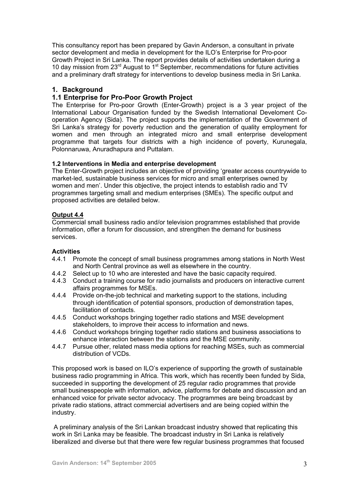This consultancy report has been prepared by Gavin Anderson, a consultant in private sector development and media in development for the ILO's Enterprise for Pro-poor Growth Project in Sri Lanka. The report provides details of activities undertaken during a 10 day mission from  $23<sup>rd</sup>$  August to 1<sup>st</sup> September, recommendations for future activities and a preliminary draft strategy for interventions to develop business media in Sri Lanka.

# **1. Background**

# **1.1 Enterprise for Pro-Poor Growth Project**

The Enterprise for Pro-poor Growth (Enter-Growth) project is a 3 year project of the International Labour Organisation funded by the Swedish International Develoment Cooperation Agency (Sida). The project supports the implementation of the Government of Sri Lanka's strategy for poverty reduction and the generation of quality employment for women and men through an integrated micro and small enterprise development programme that targets four districts with a high incidence of poverty, Kurunegala, Polonnaruwa, Anuradhapura and Puttalam.

# **1.2 Interventions in Media and enterprise development**

The Enter-Growth project includes an objective of providing 'greater access countrywide to market-led, sustainable business services for micro and small enterprises owned by women and men'. Under this objective, the project intends to establish radio and TV programmes targeting small and medium enterprises (SMEs). The specific output and proposed activities are detailed below.

# **Output 4.4**

Commercial small business radio and/or television programmes established that provide information, offer a forum for discussion, and strengthen the demand for business services.

# **Activities**

- 4.4.1 Promote the concept of small business programmes among stations in North West and North Central province as well as elsewhere in the country.
- 4.4.2 Select up to 10 who are interested and have the basic capacity required.
- 4.4.3 Conduct a training course for radio journalists and producers on interactive current affairs programmes for MSEs.
- 4.4.4 Provide on-the-job technical and marketing support to the stations, including through identification of potential sponsors, production of demonstration tapes, facilitation of contacts.
- 4.4.5 Conduct workshops bringing together radio stations and MSE development stakeholders, to improve their access to information and news.
- 4.4.6 Conduct workshops bringing together radio stations and business associations to enhance interaction between the stations and the MSE community.
- 4.4.7 Pursue other, related mass media options for reaching MSEs, such as commercial distribution of VCDs.

This proposed work is based on ILO's experience of supporting the growth of sustainable business radio programming in Africa. This work, which has recently been funded by Sida, succeeded in supporting the development of 25 regular radio programmes that provide small businesspeople with information, advice, platforms for debate and discussion and an enhanced voice for private sector advocacy. The programmes are being broadcast by private radio stations, attract commercial advertisers and are being copied within the industry.

 A preliminary analysis of the Sri Lankan broadcast industry showed that replicating this work in Sri Lanka may be feasible. The broadcast industry in Sri Lanka is relatively liberalized and diverse but that there were few regular business programmes that focused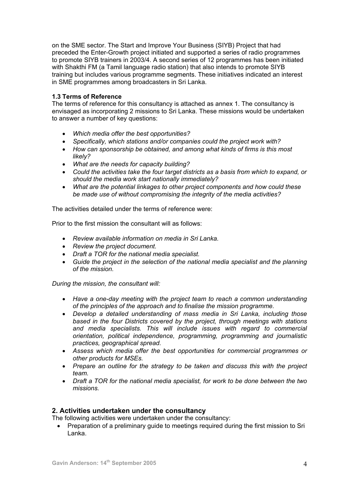on the SME sector. The Start and Improve Your Business (SIYB) Project that had preceded the Enter-Growth project initiated and supported a series of radio programmes to promote SIYB trainers in 2003/4. A second series of 12 programmes has been initiated with Shakthi FM (a Tamil language radio station) that also intends to promote SIYB training but includes various programme segments. These initiatives indicated an interest in SME programmes among broadcasters in Sri Lanka.

# **1.3 Terms of Reference**

The terms of reference for this consultancy is attached as annex 1. The consultancy is envisaged as incorporating 2 missions to Sri Lanka. These missions would be undertaken to answer a number of key questions:

- *Which media offer the best opportunities?*
- *Specifically, which stations and/or companies could the project work with?*
- *How can sponsorship be obtained, and among what kinds of firms is this most likely?*
- *What are the needs for capacity building?*
- *Could the activities take the four target districts as a basis from which to expand, or should the media work start nationally immediately?*
- *What are the potential linkages to other project components and how could these be made use of without compromising the integrity of the media activities?*

The activities detailed under the terms of reference were:

Prior to the first mission the consultant will as follows:

- *Review available information on media in Sri Lanka.*
- *Review the project document.*
- *Draft a TOR for the national media specialist.*
- *Guide the project in the selection of the national media specialist and the planning of the mission.*

*During the mission, the consultant will:* 

- *Have a one-day meeting with the project team to reach a common understanding of the principles of the approach and to finalise the mission programme.*
- *Develop a detailed understanding of mass media in Sri Lanka, including those based in the four Districts covered by the project, through meetings with stations and media specialists. This will include issues with regard to commercial orientation, political independence, programming, programming and journalistic practices, geographical spread.*
- *Assess which media offer the best opportunities for commercial programmes or other products for MSEs.*
- *Prepare an outline for the strategy to be taken and discuss this with the project team.*
- *Draft a TOR for the national media specialist, for work to be done between the two missions.*

# **2. Activities undertaken under the consultancy**

The following activities were undertaken under the consultancy:

• Preparation of a preliminary quide to meetings required during the first mission to Sri Lanka.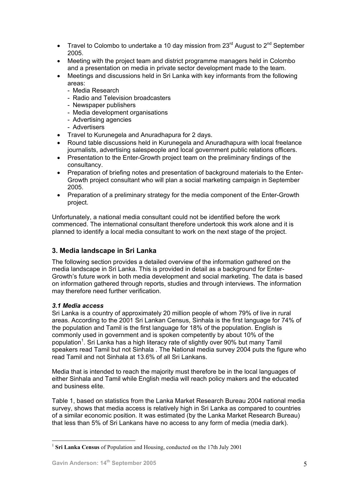- Travel to Colombo to undertake a 10 day mission from  $23<sup>rd</sup>$  August to  $2<sup>nd</sup>$  September 2005.
- Meeting with the project team and district programme managers held in Colombo and a presentation on media in private sector development made to the team.
- Meetings and discussions held in Sri Lanka with key informants from the following areas:
	- Media Research
	- Radio and Television broadcasters
	- Newspaper publishers
	- Media development organisations
	- Advertising agencies
	- Advertisers
- Travel to Kurunegela and Anuradhapura for 2 days.
- Round table discussions held in Kurunegela and Anuradhapura with local freelance journalists, advertising salespeople and local government public relations officers.
- Presentation to the Enter-Growth project team on the preliminary findings of the consultancy.
- Preparation of briefing notes and presentation of background materials to the Enter-Growth project consultant who will plan a social marketing campaign in September 2005.
- Preparation of a preliminary strategy for the media component of the Enter-Growth project.

Unfortunately, a national media consultant could not be identified before the work commenced. The international consultant therefore undertook this work alone and it is planned to identify a local media consultant to work on the next stage of the project.

# **3. Media landscape in Sri Lanka**

The following section provides a detailed overview of the information gathered on the media landscape in Sri Lanka. This is provided in detail as a background for Enter-Growth's future work in both media development and social marketing. The data is based on information gathered through reports, studies and through interviews. The information may therefore need further verification.

# *3.1 Media access*

 $\overline{a}$ 

Sri Lanka is a country of approximately 20 million people of whom 79% of live in rural areas. According to the 2001 Sri Lankan Census, Sinhala is the first language for 74% of the population and Tamil is the first language for 18% of the population. English is commonly used in government and is spoken competently by about 10% of the population<sup>1</sup>[.](#page-4-0) Sri Lanka has a high literacy rate of slightly over 90% but many Tamil speakers read Tamil but not Sinhala . The National media survey 2004 puts the figure who read Tamil and not Sinhala at 13.6% of all Sri Lankans.

Media that is intended to reach the majority must therefore be in the local languages of either Sinhala and Tamil while English media will reach policy makers and the educated and business elite.

Table 1, based on statistics from the Lanka Market Research Bureau 2004 national media survey, shows that media access is relatively high in Sri Lanka as compared to countries of a similar economic position. It was estimated (by the Lanka Market Research Bureau) that less than 5% of Sri Lankans have no access to any form of media (media dark).

<span id="page-4-0"></span><sup>1</sup> **Sri Lanka Census** of Population and Housing, conducted on the 17th July 2001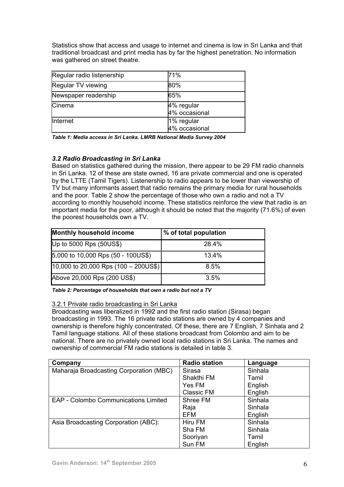Statistics show that access and usage to internet and cinema is low in Sri Lanka and that traditional broadcast and print media has by far the highest penetration. No information was gathered on street theatre.

| Regular radio listenership | 71%                         |
|----------------------------|-----------------------------|
| Regular TV viewing         | 80%                         |
| Newspaper readership       | 65%                         |
| Cinema                     | 4% regular<br>4% occasional |
| <b>Internet</b>            | 1% regular<br>4% occasional |

*Table 1: Media access in Sri Lanka. LMRB National Media Survey 2004* 

# *3.2 Radio Broadcasting in Sri Lanka*

Based on statistics gathered during the mission, there appear to be 29 FM radio channels in Sri Lanka. 12 of these are state owned, 16 are private commercial and one is operated by the LTTE (Tamil Tigers). Listenership to radio appears to be lower than viewership of TV but many informants assert that radio remains the primary media for rural households and the poor. Table 2 show the percentage of those who own a radio and not a TV according to monthly household income. These statistics reinforce the view that radio is an important media for the poor, although it should be noted that the majority (71.6%) of even the poorest households own a TV.

| <b>Monthly household income</b>                 | % of total population |  |
|-------------------------------------------------|-----------------------|--|
| Up to 5000 Rps (50US\$)                         | 28.4%                 |  |
| 5,000 to 10,000 Rps $(50 - 100 \text{US}$ \$)   | 13.4%                 |  |
| 10,000 to 20,000 Rps $(100 - 200 \text{US}$ \$) | 8.5%                  |  |
| Above 20,000 Rps (200 US\$)                     | 3.5%                  |  |

*Table 2: Percentage of households that own a radio but not a TV* 

# 3.2.1 Private radio broadcasting in Sri Lanka

Broadcasting was liberalized in 1992 and the first radio station (Sirasa) began broadcasting in 1993. The 16 private radio stations are owned by 4 companies and ownership is therefore highly concentrated. Of these, there are 7 English, 7 Sinhala and 2 Tamil language stations. All of these stations broadcast from Colombo and aim to be national. There are no privately owned local radio stations in Sri Lanka. The names and ownership of commercial FM radio stations is detailed in table 3.

| Company                                     | <b>Radio station</b> | Language |
|---------------------------------------------|----------------------|----------|
| Maharaja Broadcasting Corporation (MBC)     | <b>Sirasa</b>        | Sinhala  |
|                                             | Shakthi FM           | Tamil    |
|                                             | Yes FM               | English  |
|                                             | <b>Classic FM</b>    | English  |
| <b>EAP - Colombo Communications Limited</b> | Shree FM             | Sinhala  |
|                                             | Raja                 | Sinhala  |
|                                             | EFM                  | English  |
| Asia Broadcasting Corporation (ABC):        | Hiru FM              | Sinhala  |
|                                             | Sha FM               | Sinhala  |
|                                             | Sooriyan             | Tamil    |
|                                             | Sun FM               | English  |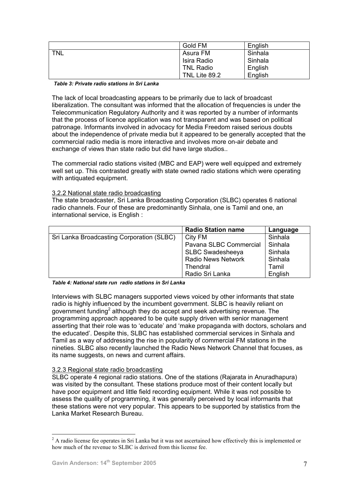|            | Gold FM          | English |
|------------|------------------|---------|
| <b>TNL</b> | Asura FM         | Sinhala |
|            | Isira Radio      | Sinhala |
|            | <b>TNL Radio</b> | English |
|            | TNL Lite 89.2    | English |

### *Table 3: Private radio stations in Sri Lanka*

The lack of local broadcasting appears to be primarily due to lack of broadcast liberalization. The consultant was informed that the allocation of frequencies is under the Telecommunication Regulatory Authority and it was reported by a number of informants that the process of licence application was not transparent and was based on political patronage. Informants involved in advocacy for Media Freedom raised serious doubts about the independence of private media but it appeared to be generally accepted that the commercial radio media is more interactive and involves more on-air debate and exchange of views than state radio but did have large studios..

The commercial radio stations visited (MBC and EAP) were well equipped and extremely well set up. This contrasted greatly with state owned radio stations which were operating with antiquated equipment.

# 3.2.2 National state radio broadcasting

The state broadcaster, Sri Lanka Broadcasting Corporation (SLBC) operates 6 national radio channels. Four of these are predominantly Sinhala, one is Tamil and one, an international service, is English :

|                                           | <b>Radio Station name</b> | Language |
|-------------------------------------------|---------------------------|----------|
| Sri Lanka Broadcasting Corporation (SLBC) | City FM                   | Sinhala  |
|                                           | Pavana SLBC Commercial    | Sinhala  |
|                                           | <b>SLBC Swadesheeya</b>   | Sinhala  |
|                                           | <b>Radio News Network</b> | Sinhala  |
|                                           | Thendral                  | Tamil    |
|                                           | Radio Sri Lanka           | English  |

*Table 4: National state run radio stations in Sri Lanka* 

Interviews with SLBC managers supported views voiced by other informants that state radio is highly influenced by the incumbent government. SLBC is heavily reliant on government funding<sup>[2](#page-6-0)</sup> although they do accept and seek advertising revenue. The programming approach appeared to be quite supply driven with senior management asserting that their role was to 'educate' and 'make propaganda with doctors, scholars and the educated'. Despite this, SLBC has established commercial services in Sinhala and Tamil as a way of addressing the rise in popularity of commercial FM stations in the nineties. SLBC also recently launched the Radio News Network Channel that focuses, as its name suggests, on news and current affairs.

# 3.2.3 Regional state radio broadcasting

SLBC operate 4 regional radio stations. One of the stations (Rajarata in Anuradhapura) was visited by the consultant. These stations produce most of their content locally but have poor equipment and little field recording equipment. While it was not possible to assess the quality of programming, it was generally perceived by local informants that these stations were not very popular. This appears to be supported by statistics from the Lanka Market Research Bureau.

 $\overline{a}$ 

<span id="page-6-0"></span><sup>&</sup>lt;sup>2</sup> A radio license fee operates in Sri Lanka but it was not ascertained how effectively this is implemented or how much of the revenue to SLBC is derived from this license fee.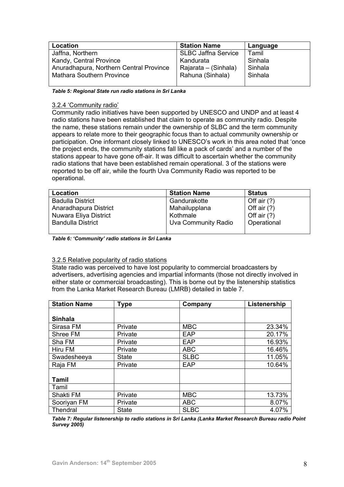| Location                                | <b>Station Name</b>        | Language |
|-----------------------------------------|----------------------------|----------|
| Jaffna, Northern                        | <b>SLBC Jaffna Service</b> | Tamil    |
| Kandy, Central Province                 | Kandurata                  | Sinhala  |
| Anuradhapura, Northern Central Province | Rajarata – (Sinhala)       | Sinhala  |
| Mathara Southern Province               | Rahuna (Sinhala)           | Sinhala  |
|                                         |                            |          |

*Table 5: Regional State run radio stations in Sri Lanka* 

### 3.2.4 'Community radio'

Community radio initiatives have been supported by UNESCO and UNDP and at least 4 radio stations have been established that claim to operate as community radio. Despite the name, these stations remain under the ownership of SLBC and the term community appears to relate more to their geographic focus than to actual community ownership or participation. One informant closely linked to UNESCO's work in this area noted that 'once the project ends, the community stations fall like a pack of cards' and a number of the stations appear to have gone off-air. It was difficult to ascertain whether the community radio stations that have been established remain operational. 3 of the stations were reported to be off air, while the fourth Uva Community Radio was reported to be operational.

| Location                 | <b>Station Name</b> | <b>Status</b> |
|--------------------------|---------------------|---------------|
| <b>Badulla District</b>  | Gandurakotte        | Off air $(?)$ |
| Anaradhapura District    | Mahailupplana       | Off air $(?)$ |
| Nuwara Eliya District    | Kothmale            | Off air $(?)$ |
| <b>Bandulla District</b> | Uva Community Radio | Operational   |
|                          |                     |               |

*Table 6: 'Community' radio stations in Sri Lanka* 

# 3.2.5 Relative popularity of radio stations

State radio was perceived to have lost popularity to commercial broadcasters by advertisers, advertising agencies and impartial informants (those not directly involved in either state or commercial broadcasting). This is borne out by the listenership statistics from the Lanka Market Research Bureau (LMRB) detailed in table 7.

| <b>Station Name</b> | <b>Type</b>  | Company     | Listenership |
|---------------------|--------------|-------------|--------------|
|                     |              |             |              |
| <b>Sinhala</b>      |              |             |              |
| Sirasa FM           | Private      | <b>MBC</b>  | 23.34%       |
| Shree FM            | Private      | EAP         | 20.17%       |
| Sha FM              | Private      | EAP         | 16.93%       |
| Hiru FM             | Private      | <b>ABC</b>  | 16.46%       |
| Swadesheeya         | <b>State</b> | <b>SLBC</b> | 11.05%       |
| Raja FM             | Private      | EAP         | 10.64%       |
|                     |              |             |              |
| <b>Tamil</b>        |              |             |              |
| Tamil               |              |             |              |
| Shakti FM           | Private      | <b>MBC</b>  | 13.73%       |
| Sooriyan FM         | Private      | <b>ABC</b>  | 8.07%        |
| Thendral            | <b>State</b> | <b>SLBC</b> | 4.07%        |

*Table 7: Regular listenership to radio stations in Sri Lanka (Lanka Market Research Bureau radio Point Survey 2005)*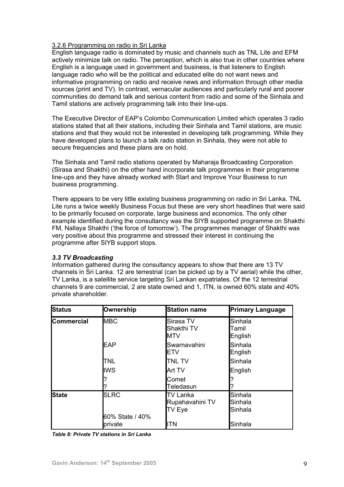# 3.2.6 Programming on radio in Sri Lanka

English language radio is dominated by music and channels such as TNL Lite and EFM actively minimize talk on radio. The perception, which is also true in other countries where English is a language used in government and business, is that listeners to English language radio who will be the political and educated elite do not want news and informative programming on radio and receive news and information through other media sources (print and TV). In contrast, vernacular audiences and particularly rural and poorer communities do demand talk and serious content from radio and some of the Sinhala and Tamil stations are actively programming talk into their line-ups.

The Executive Director of EAP's Colombo Communication Limited which operates 3 radio stations stated that all their stations, including their Sinhala and Tamil stations, are music stations and that they would not be interested in developing talk programming. While they have developed plans to launch a talk radio station in Sinhala, they were not able to secure frequencies and these plans are on hold.

The Sinhala and Tamil radio stations operated by Maharaja Broadcasting Corporation (Sirasa and Shakthi) on the other hand incorporate talk programmes in their programme line-ups and they have already worked with Start and Improve Your Business to run business programming.

There appears to be very little existing business programming on radio in Sri Lanka. TNL Lite runs a twice weekly Business Focus but these are very short headlines that were said to be primarily focused on corporate, large business and economics. The only other example identified during the consultancy was the SIYB supported programme on Shakthi FM, Nallaya Shakthi ('the force of tomorrow'). The programmes manager of Shakthi was very positive about this programme and stressed their interest in continuing the programme after SIYB support stops.

# *3.3 TV Broadcasting*

Information gathered during the consultancy appears to show that there are 13 TV channels in Sri Lanka. 12 are terrestrial (can be picked up by a TV aerial) while the other, TV Lanka, is a satellite service targeting Sri Lankan expatriates. Of the 12 terrestrial channels 9 are commercial, 2 are state owned and 1, ITN, is owned 60% state and 40% private shareholder.

| <b>Status</b>     | Ownership                  | <b>Station name</b>                   | <b>Primary Language</b>       |
|-------------------|----------------------------|---------------------------------------|-------------------------------|
| <b>Commercial</b> | <b>MBC</b>                 | Sirasa TV<br>Shakthi TV<br><b>MTV</b> | Sinhala<br>Tamil<br>English   |
|                   | <b>EAP</b>                 | Swarnavahini<br>ETV                   | Sinhala<br>English            |
|                   | <b>TNL</b>                 | <b>TNL TV</b>                         | Sinhala                       |
|                   | <b>IWS</b>                 | Art TV                                | English                       |
|                   |                            | Comet<br>Teledasun                    |                               |
| <b>State</b>      | <b>SLRC</b>                | TV Lanka<br>Rupahavahini TV<br>TV Eye | Sinhala<br>Sinhala<br>Sinhala |
|                   | 60% State / 40%<br>private | ITN                                   | Sinhala                       |

*Table 8: Private TV stations in Sri Lanka*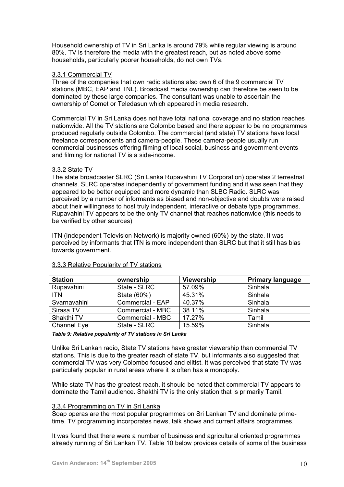Household ownership of TV in Sri Lanka is around 79% while regular viewing is around 80%. TV is therefore the media with the greatest reach, but as noted above some households, particularly poorer households, do not own TVs.

# 3.3.1 Commercial TV

Three of the companies that own radio stations also own 6 of the 9 commercial TV stations (MBC, EAP and TNL). Broadcast media ownership can therefore be seen to be dominated by these large companies. The consultant was unable to ascertain the ownership of Comet or Teledasun which appeared in media research.

Commercial TV in Sri Lanka does not have total national coverage and no station reaches nationwide. All the TV stations are Colombo based and there appear to be no programmes produced regularly outside Colombo. The commercial (and state) TV stations have local freelance correspondents and camera-people. These camera-people usually run commercial businesses offering filming of local social, business and government events and filming for national TV is a side-income.

## 3.3.2 State TV

The state broadcaster SLRC (Sri Lanka Rupavahini TV Corporation) operates 2 terrestrial channels. SLRC operates independently of government funding and it was seen that they appeared to be better equipped and more dynamic than SLBC Radio. SLRC was perceived by a number of informants as biased and non-objective and doubts were raised about their willingness to host truly independent, interactive or debate type programmes. Rupavahini TV appears to be the only TV channel that reaches nationwide (this needs to be verified by other sources)

ITN (Independent Television Network) is majority owned (60%) by the state. It was perceived by informants that ITN is more independent than SLRC but that it still has bias towards government.

| <b>Station</b>     | ownership        | <b>Viewership</b> | <b>Primary language</b> |
|--------------------|------------------|-------------------|-------------------------|
| Rupavahini         | State - SLRC     | 57.09%            | Sinhala                 |
| <b>ITN</b>         | State (60%)      | 45.31%            | Sinhala                 |
| Svarnavahini       | Commercial - EAP | 40.37%            | Sinhala                 |
| Sirasa TV          | Commercial - MBC | 38.11%            | Sinhala                 |
| Shakthi TV         | Commercial - MBC | 17.27%            | Tamil                   |
| <b>Channel Eye</b> | State - SLRC     | 15.59%            | Sinhala                 |

### 3.3.3 Relative Popularity of TV stations

*Table 9: Relative popularity of TV stations in Sri Lanka* 

Unlike Sri Lankan radio, State TV stations have greater viewership than commercial TV stations. This is due to the greater reach of state TV, but informants also suggested that commercial TV was very Colombo focused and elitist. It was perceived that state TV was particularly popular in rural areas where it is often has a monopoly.

While state TV has the greatest reach, it should be noted that commercial TV appears to dominate the Tamil audience. Shakthi TV is the only station that is primarily Tamil.

# 3.3.4 Programming on TV in Sri Lanka

Soap operas are the most popular programmes on Sri Lankan TV and dominate primetime. TV programming incorporates news, talk shows and current affairs programmes.

It was found that there were a number of business and agricultural oriented programmes already running of Sri Lankan TV. Table 10 below provides details of some of the business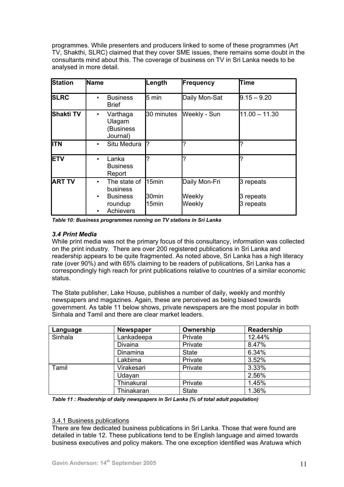programmes. While presenters and producers linked to some of these programmes (Art TV, Shakthi, SLRC) claimed that they cover SME issues, there remains some doubt in the consultants mind about this. The coverage of business on TV in Sri Lanka needs to be analysed in more detail.

| <b>Station</b>   | Name                                                                                                       | Length                  | <b>Frequency</b>                  | Time                                |
|------------------|------------------------------------------------------------------------------------------------------------|-------------------------|-----------------------------------|-------------------------------------|
| <b>SLRC</b>      | <b>Business</b><br>$\bullet$<br><b>Brief</b>                                                               | $5 \text{ min}$         | Daily Mon-Sat                     | $9.15 - 9.20$                       |
| <b>Shakti TV</b> | Varthaga<br>$\bullet$<br>Ulagam<br>(Business<br>Journal)                                                   | 30 minutes              | Weekly - Sun                      | $11.00 - 11.30$                     |
| <b>I</b> ITN     | Situ Medura<br>$\bullet$                                                                                   | l?                      | 7                                 | ?                                   |
| <b>ETV</b>       | Lanka<br>$\bullet$<br><b>Business</b><br>Report                                                            | ?                       | 7                                 | ?                                   |
| <b>ART TV</b>    | The state of<br>$\bullet$<br>business<br><b>Business</b><br>$\bullet$<br>roundup<br>Achievers<br>$\bullet$ | 15min<br>30min<br>15min | Daily Mon-Fri<br>Weekly<br>Weekly | 3 repeats<br>3 repeats<br>3 repeats |

*Table 10: Business programmes running on TV stations in Sri Lanka* 

# *3.4 Print Media*

While print media was not the primary focus of this consultancy, information was collected on the print industry. There are over 200 registered publications in Sri Lanka and readership appears to be quite fragmented. As noted above, Sri Lanka has a high literacy rate (over 90%) and with 65% claiming to be readers of publications, Sri Lanka has a correspondingly high reach for print publications relative to countries of a similar economic status.

The State publisher, Lake House, publishes a number of daily, weekly and monthly newspapers and magazines. Again, these are perceived as being biased towards government. As table 11 below shows, private newspapers are the most popular in both Sinhala and Tamil and there are clear market leaders.

| Language | <b>Newspaper</b>  | Ownership    | Readership |
|----------|-------------------|--------------|------------|
| Sinhala  | Lankadeepa        | Private      | 12.44%     |
|          | Divaina           | Private      | 8.47%      |
|          | Dinamina          | <b>State</b> | 6.34%      |
|          | Lakbima           | Private      | 3.52%      |
| Tamil    | Virakesari        | Private      | 3.33%      |
|          | Udayan            |              | 2.56%      |
|          | <b>Thinakural</b> | Private      | 1.45%      |
|          | Thinakaran        | <b>State</b> | 1.36%      |

*Table 11 : Readership of daily newspapers in Sri Lanka (% of total adult population)* 

# 3.4.1 Business publications

There are few dedicated business publications in Sri Lanka. Those that were found are detailed in table 12. These publications tend to be English language and aimed towards business executives and policy makers. The one exception identified was Aratuwa which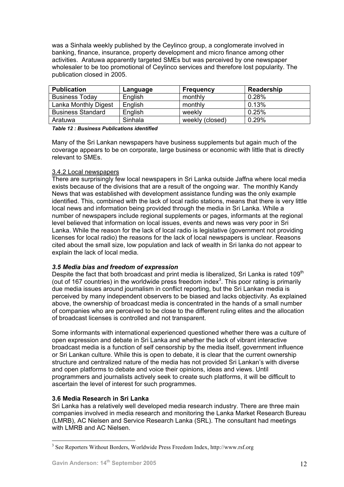was a Sinhala weekly published by the Ceylinco group, a conglomerate involved in banking, finance, insurance, property development and micro finance among other activities. Aratuwa apparently targeted SMEs but was perceived by one newspaper wholesaler to be too promotional of Ceylinco services and therefore lost popularity. The publication closed in 2005.

| <b>Publication</b>       | Language | Frequency       | Readership |
|--------------------------|----------|-----------------|------------|
| <b>Business Today</b>    | English  | monthly         | 0.28%      |
| Lanka Monthly Digest     | English  | monthly         | 0.13%      |
| <b>Business Standard</b> | English  | weekly          | 0.25%      |
| Aratuwa                  | Sinhala  | weekly (closed) | 0.29%      |

*Table 12 : Business Publications identified* 

Many of the Sri Lankan newspapers have business supplements but again much of the coverage appears to be on corporate, large business or economic with little that is directly relevant to SMEs.

# 3.4.2 Local newspapers

There are surprisingly few local newspapers in Sri Lanka outside Jaffna where local media exists because of the divisions that are a result of the ongoing war. The monthly Kandy News that was established with development assistance funding was the only example identified. This, combined with the lack of local radio stations, means that there is very little local news and information being provided through the media in Sri Lanka. While a number of newspapers include regional supplements or pages, informants at the regional level believed that information on local issues, events and news was very poor in Sri Lanka. While the reason for the lack of local radio is legislative (government not providing licenses for local radio) the reasons for the lack of local newspapers is unclear. Reasons cited about the small size, low population and lack of wealth in Sri lanka do not appear to explain the lack of local media.

# *3.5 Media bias and freedom of expression*

Despite the fact that both broadcast and print media is liberalized, Sri Lanka is rated 109<sup>th</sup> (out of 167 countries) in the worldwide press freedom index<sup>3</sup>[.](#page-11-0) This poor rating is primarily due media issues around journalism in conflict reporting, but the Sri Lankan media is perceived by many independent observers to be biased and lacks objectivity. As explained above, the ownership of broadcast media is concentrated in the hands of a small number of companies who are perceived to be close to the different ruling elites and the allocation of broadcast licenses is controlled and not transparent.

Some informants with international experienced questioned whether there was a culture of open expression and debate in Sri Lanka and whether the lack of vibrant interactive broadcast media is a function of self censorship by the media itself, government influence or Sri Lankan culture. While this is open to debate, it is clear that the current ownership structure and centralized nature of the media has not provided Sri Lankan's with diverse and open platforms to debate and voice their opinions, ideas and views. Until programmers and journalists actively seek to create such platforms, it will be difficult to ascertain the level of interest for such programmes.

# **3.6 Media Research in Sri Lanka**

 $\overline{a}$ 

Sri Lanka has a relatively well developed media research industry. There are three main companies involved in media research and monitoring the Lanka Market Research Bureau (LMRB), AC Nielsen and Service Research Lanka (SRL). The consultant had meetings with LMRB and AC Nielsen.

<span id="page-11-0"></span><sup>&</sup>lt;sup>3</sup> See Reporters Without Borders, Worldwide Press Freedom Index, http://www.rsf.org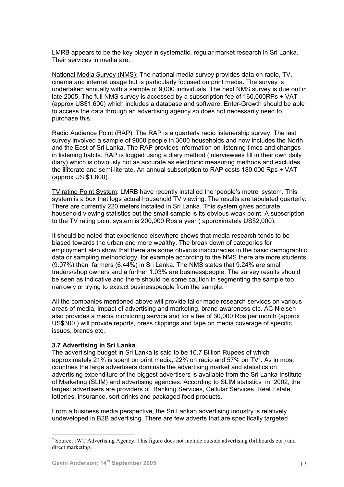LMRB appears to be the key player in systematic, regular market research in Sri Lanka. Their services in media are:

National Media Survey (NMS): The national media survey provides data on radio, TV, cinema and internet usage but is particularly focused on print media. The survey is undertaken annually with a sample of 9,000 individuals. The next NMS survey is due out in late 2005. The full NMS survey is accessed by a subscription fee of 160,000RPs + VAT (approx US\$1,600) which includes a database and software. Enter-Growth should be able to access the data through an advertising agency so does not necessarily need to purchase this.

Radio Audience Point (RAP): The RAP is a quarterly radio listenership survey. The last survey involved a sample of 9000 people in 3000 households and now includes the North and the East of Sri Lanka. The RAP provides information on listening times and changes in listening habits. RAP is logged using a diary method (interviewees fill in their own daily diary) which is obviously not as accurate as electronic measuring methods and excludes the illiterate and semi-literate. An annual subscription to RAP costs 180,000 Rps + VAT (approx US \$1,800).

TV rating Point System: LMRB have recently installed the 'people's metre' system. This system is a box that logs actual household TV viewing. The results are tabulated quarterly. There are currently 220 meters installed in Sri Lanka. This system gives accurate household viewing statistics but the small sample is its obvious weak point. A subscription to the TV rating point system is 200,000 Rps a year ( approximately US\$2,000).

It should be noted that experience elsewhere shows that media research tends to be biased towards the urban and more wealthy. The break down of categories for employment also show that there are some obvious inaccuracies in the basic demographic data or sampling methodology, for example according to the NMS there are more students (9.07%) than farmers (6.44%) in Sri Lanka. The NMS states that 9.24% are small traders/shop owners and a further 1.03% are businesspeople. The survey results should be seen as indicative and there should be some caution in segmenting the sample too narrowly or trying to extract businesspeople from the sample.

All the companies mentioned above will provide tailor made research services on various areas of media, impact of advertising and marketing, brand awareness etc. AC Nielsen also provides a media monitoring service and for a fee of 30,000 Rps per month (approx US\$300 ) will provide reports, press clippings and tape on media coverage of specific issues, brands etc.

# **3.7 Advertising in Sri Lanka**

The advertising budget in Sri Lanka is said to be 10.7 Billion Rupees of which approximately 21% is spent on print media, 22% on radio and 57% on TV<sup>[4](#page-12-0)</sup>. As in most countries the large advertisers dominate the advertising market and statistics on advertising expenditure of the biggest advertisers is available from the Sri Lanka Institute of Marketing (SLIM) and advertising agencies. According to SLIM statistics in 2002, the largest advertisers are providers of Banking Services, Cellular Services, Real Estate, lotteries, insurance, sort drinks and packaged food products.

From a business media perspective, the Sri Lankan advertising industry is relatively undeveloped in B2B advertising. There are few adverts that are specifically targeted

 $\overline{a}$ 

<span id="page-12-0"></span><sup>&</sup>lt;sup>4</sup> Source: JWT Advertising Agency. This figure does not include outside advertising (billboards etc.) and direct marketing.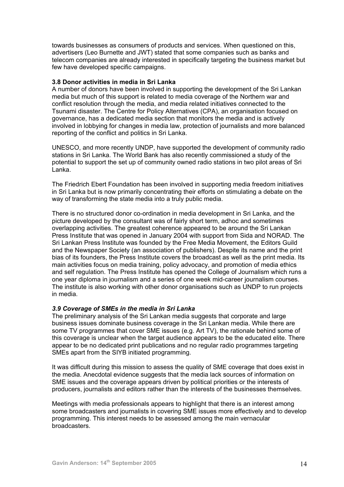towards businesses as consumers of products and services. When questioned on this, advertisers (Leo Burnette and JWT) stated that some companies such as banks and telecom companies are already interested in specifically targeting the business market but few have developed specific campaigns.

## **3.8 Donor activities in media in Sri Lanka**

A number of donors have been involved in supporting the development of the Sri Lankan media but much of this support is related to media coverage of the Northern war and conflict resolution through the media, and media related initiatives connected to the Tsunami disaster. The Centre for Policy Alternatives (CPA), an organisation focused on governance, has a dedicated media section that monitors the media and is actively involved in lobbying for changes in media law, protection of journalists and more balanced reporting of the conflict and politics in Sri Lanka.

UNESCO, and more recently UNDP, have supported the development of community radio stations in Sri Lanka. The World Bank has also recently commissioned a study of the potential to support the set up of community owned radio stations in two pilot areas of Sri Lanka.

The Friedrich Ebert Foundation has been involved in supporting media freedom initiatives in Sri Lanka but is now primarily concentrating their efforts on stimulating a debate on the way of transforming the state media into a truly public media.

There is no structured donor co-ordination in media development in Sri Lanka, and the picture developed by the consultant was of fairly short term, adhoc and sometimes overlapping activities. The greatest coherence appeared to be around the Sri Lankan Press Institute that was opened in January 2004 with support from Sida and NORAD. The Sri Lankan Press Institute was founded by the Free Media Movement, the Editors Guild and the Newspaper Society (an association of publishers). Despite its name and the print bias of its founders, the Press Institute covers the broadcast as well as the print media. Its main activities focus on media training, policy advocacy, and promotion of media ethics and self regulation. The Press Institute has opened the College of Journalism which runs a one year diploma in journalism and a series of one week mid-career journalism courses. The institute is also working with other donor organisations such as UNDP to run projects in media.

# *3.9 Coverage of SMEs in the media in Sri Lanka*

The preliminary analysis of the Sri Lankan media suggests that corporate and large business issues dominate business coverage in the Sri Lankan media. While there are some TV programmes that cover SME issues (e.g. Art TV), the rationale behind some of this coverage is unclear when the target audience appears to be the educated elite. There appear to be no dedicated print publications and no regular radio programmes targeting SMEs apart from the SIYB initiated programming.

It was difficult during this mission to assess the quality of SME coverage that does exist in the media. Anecdotal evidence suggests that the media lack sources of information on SME issues and the coverage appears driven by political priorities or the interests of producers, journalists and editors rather than the interests of the businesses themselves.

Meetings with media professionals appears to highlight that there is an interest among some broadcasters and journalists in covering SME issues more effectively and to develop programming. This interest needs to be assessed among the main vernacular broadcasters.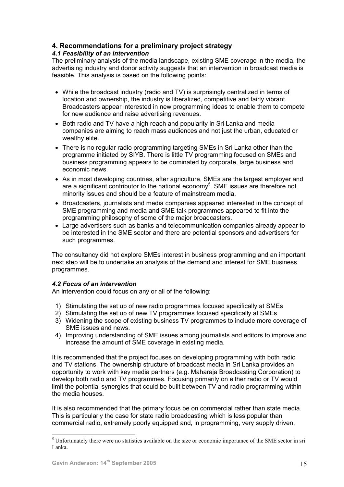# **4. Recommendations for a preliminary project strategy**

# *4.1 Feasibility of an intervention*

The preliminary analysis of the media landscape, existing SME coverage in the media, the advertising industry and donor activity suggests that an intervention in broadcast media is feasible. This analysis is based on the following points:

- While the broadcast industry (radio and TV) is surprisingly centralized in terms of location and ownership, the industry is liberalized, competitive and fairly vibrant. Broadcasters appear interested in new programming ideas to enable them to compete for new audience and raise advertising revenues.
- Both radio and TV have a high reach and popularity in Sri Lanka and media companies are aiming to reach mass audiences and not just the urban, educated or wealthy elite.
- There is no regular radio programming targeting SMEs in Sri Lanka other than the programme initiated by SIYB. There is little TV programming focused on SMEs and business programming appears to be dominated by corporate, large business and economic news.
- As in most developing countries, after agriculture, SMEs are the largest employer and are a significant contributor to the national economy<sup>[5](#page-14-0)</sup>. SME issues are therefore not minority issues and should be a feature of mainstream media.
- Broadcasters, journalists and media companies appeared interested in the concept of SME programming and media and SME talk programmes appeared to fit into the programming philosophy of some of the major broadcasters.
- Large advertisers such as banks and telecommunication companies already appear to be interested in the SME sector and there are potential sponsors and advertisers for such programmes.

The consultancy did not explore SMEs interest in business programming and an important next step will be to undertake an analysis of the demand and interest for SME business programmes.

# *4.2 Focus of an intervention*

An intervention could focus on any or all of the following:

- 1) Stimulating the set up of new radio programmes focused specifically at SMEs
- 2) Stimulating the set up of new TV programmes focused specifically at SMEs
- 3) Widening the scope of existing business TV programmes to include more coverage of SME issues and news.
- 4) Improving understanding of SME issues among journalists and editors to improve and increase the amount of SME coverage in existing media.

It is recommended that the project focuses on developing programming with both radio and TV stations. The ownership structure of broadcast media in Sri Lanka provides an opportunity to work with key media partners (e.g. Maharaja Broadcasting Corporation) to develop both radio and TV programmes. Focusing primarily on either radio or TV would limit the potential synergies that could be built between TV and radio programming within the media houses.

It is also recommended that the primary focus be on commercial rather than state media. This is particularly the case for state radio broadcasting which is less popular than commercial radio, extremely poorly equipped and, in programming, very supply driven.

 $\overline{a}$ 

<span id="page-14-0"></span><sup>&</sup>lt;sup>5</sup> Unfortunately there were no statistics available on the size or economic importance of the SME sector in sri Lanka.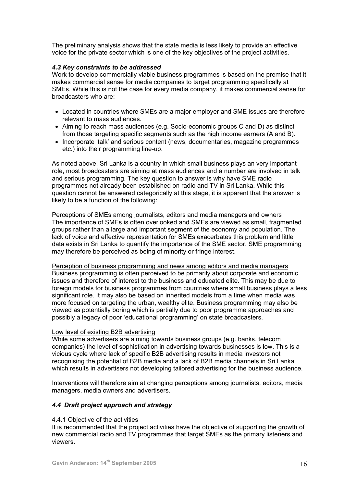The preliminary analysis shows that the state media is less likely to provide an effective voice for the private sector which is one of the key objectives of the project activities.

# *4.3 Key constraints to be addressed*

Work to develop commercially viable business programmes is based on the premise that it makes commercial sense for media companies to target programming specifically at SMEs. While this is not the case for every media company, it makes commercial sense for broadcasters who are:

- Located in countries where SMEs are a major employer and SME issues are therefore relevant to mass audiences.
- Aiming to reach mass audiences (e.g. Socio-economic groups C and D) as distinct from those targeting specific segments such as the high income earners (A and B).
- Incorporate 'talk' and serious content (news, documentaries, magazine programmes etc.) into their programming line-up.

As noted above, Sri Lanka is a country in which small business plays an very important role, most broadcasters are aiming at mass audiences and a number are involved in talk and serious programming. The key question to answer is why have SME radio programmes not already been established on radio and TV in Sri Lanka. While this question cannot be answered categorically at this stage, it is apparent that the answer is likely to be a function of the following:

Perceptions of SMEs among journalists, editors and media managers and owners The importance of SMEs is often overlooked and SMEs are viewed as small, fragmented groups rather than a large and important segment of the economy and population. The lack of voice and effective representation for SMEs exacerbates this problem and little data exists in Sri Lanka to quantify the importance of the SME sector. SME programming may therefore be perceived as being of minority or fringe interest.

Perception of business programming and news among editors and media managers Business programming is often perceived to be primarily about corporate and economic issues and therefore of interest to the business and educated elite. This may be due to foreign models for business programmes from countries where small business plays a less significant role. It may also be based on inherited models from a time when media was more focused on targeting the urban, wealthy elite. Business programming may also be viewed as potentially boring which is partially due to poor programme approaches and possibly a legacy of poor 'educational programming' on state broadcasters.

# Low level of existing B2B advertising

While some advertisers are aiming towards business groups (e.g. banks, telecom companies) the level of sophistication in advertising towards businesses is low. This is a vicious cycle where lack of specific B2B advertising results in media investors not recognising the potential of B2B media and a lack of B2B media channels in Sri Lanka which results in advertisers not developing tailored advertising for the business audience.

Interventions will therefore aim at changing perceptions among journalists, editors, media managers, media owners and advertisers.

# *4.4 Draft project approach and strategy*

# 4.4.1 Objective of the activities

It is recommended that the project activities have the objective of supporting the growth of new commercial radio and TV programmes that target SMEs as the primary listeners and viewers.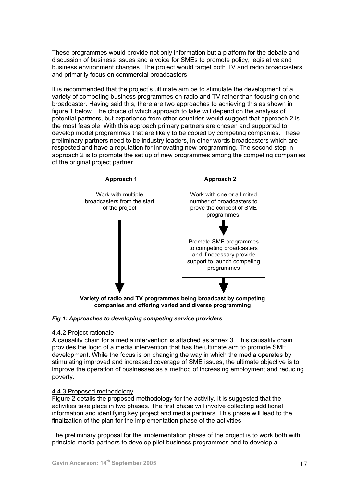These programmes would provide not only information but a platform for the debate and discussion of business issues and a voice for SMEs to promote policy, legislative and business environment changes. The project would target both TV and radio broadcasters and primarily focus on commercial broadcasters.

It is recommended that the project's ultimate aim be to stimulate the development of a variety of competing business programmes on radio and TV rather than focusing on one broadcaster. Having said this, there are two approaches to achieving this as shown in figure 1 below. The choice of which approach to take will depend on the analysis of potential partners, but experience from other countries would suggest that approach 2 is the most feasible. With this approach primary partners are chosen and supported to develop model programmes that are likely to be copied by competing companies. These preliminary partners need to be industry leaders, in other words broadcasters which are respected and have a reputation for innovating new programming. The second step in approach 2 is to promote the set up of new programmes among the competing companies of the original project partner.



**companies and offering varied and diverse programming** 

# *Fig 1: Approaches to developing competing service providers*

# 4.4.2 Project rationale

A causality chain for a media intervention is attached as annex 3. This causality chain provides the logic of a media intervention that has the ultimate aim to promote SME development. While the focus is on changing the way in which the media operates by stimulating improved and increased coverage of SME issues, the ultimate objective is to improve the operation of businesses as a method of increasing employment and reducing poverty.

# 4.4.3 Proposed methodology

Figure 2 details the proposed methodology for the activity. It is suggested that the activities take place in two phases. The first phase will involve collecting additional information and identifying key project and media partners. This phase will lead to the finalization of the plan for the implementation phase of the activities.

The preliminary proposal for the implementation phase of the project is to work both with principle media partners to develop pilot business programmes and to develop a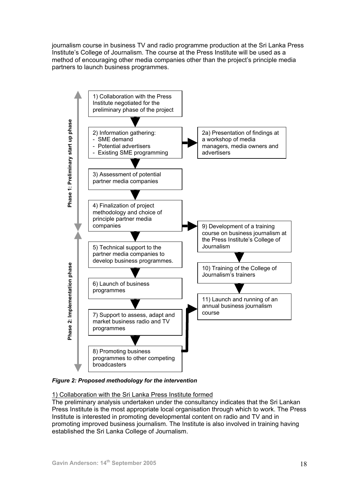journalism course in business TV and radio programme production at the Sri Lanka Press Institute's College of Journalism. The course at the Press Institute will be used as a method of encouraging other media companies other than the project's principle media partners to launch business programmes.



*Figure 2: Proposed methodology for the intervention* 

# 1) Collaboration with the Sri Lanka Press Institute formed

The preliminary analysis undertaken under the consultancy indicates that the Sri Lankan Press Institute is the most appropriate local organisation through which to work. The Press Institute is interested in promoting developmental content on radio and TV and in promoting improved business journalism. The Institute is also involved in training having established the Sri Lanka College of Journalism.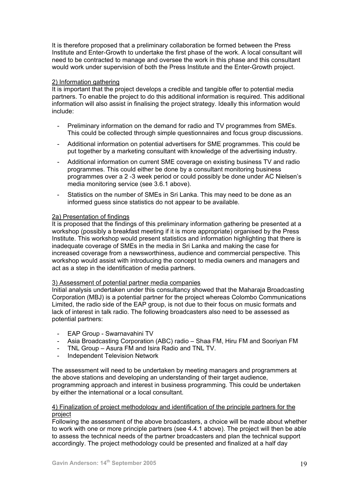It is therefore proposed that a preliminary collaboration be formed between the Press Institute and Enter-Growth to undertake the first phase of the work. A local consultant will need to be contracted to manage and oversee the work in this phase and this consultant would work under supervision of both the Press Institute and the Enter-Growth project.

## 2) Information gathering

It is important that the project develops a credible and tangible offer to potential media partners. To enable the project to do this additional information is required. This additional information will also assist in finalising the project strategy. Ideally this information would include:

- Preliminary information on the demand for radio and TV programmes from SMEs. This could be collected through simple questionnaires and focus group discussions.
- Additional information on potential advertisers for SME programmes. This could be put together by a marketing consultant with knowledge of the advertising industry.
- Additional information on current SME coverage on existing business TV and radio programmes. This could either be done by a consultant monitoring business programmes over a 2 -3 week period or could possibly be done under AC Nielsen's media monitoring service (see 3.6.1 above).
- Statistics on the number of SMEs in Sri Lanka. This may need to be done as an informed guess since statistics do not appear to be available.

## 2a) Presentation of findings

It is proposed that the findings of this preliminary information gathering be presented at a workshop (possibly a breakfast meeting if it is more appropriate) organised by the Press Institute. This workshop would present statistics and information highlighting that there is inadequate coverage of SMEs in the media in Sri Lanka and making the case for increased coverage from a newsworthiness, audience and commercial perspective. This workshop would assist with introducing the concept to media owners and managers and act as a step in the identification of media partners.

### 3) Assessment of potential partner media companies

Initial analysis undertaken under this consultancy showed that the Maharaja Broadcasting Corporation (MBJ) is a potential partner for the project whereas Colombo Communications Limited, the radio side of the EAP group, is not due to their focus on music formats and lack of interest in talk radio. The following broadcasters also need to be assessed as potential partners:

- EAP Group Swarnavahini TV
- Asia Broadcasting Corporation (ABC) radio Shaa FM, Hiru FM and Sooriyan FM
- TNL Group Asura FM and Isira Radio and TNL TV.
- Independent Television Network

The assessment will need to be undertaken by meeting managers and programmers at the above stations and developing an understanding of their target audience, programming approach and interest in business programming. This could be undertaken by either the international or a local consultant.

## 4) Finalization of project methodology and identification of the principle partners for the project

Following the assessment of the above broadcasters, a choice will be made about whether to work with one or more principle partners (see 4.4.1 above). The project will then be able to assess the technical needs of the partner broadcasters and plan the technical support accordingly. The project methodology could be presented and finalized at a half day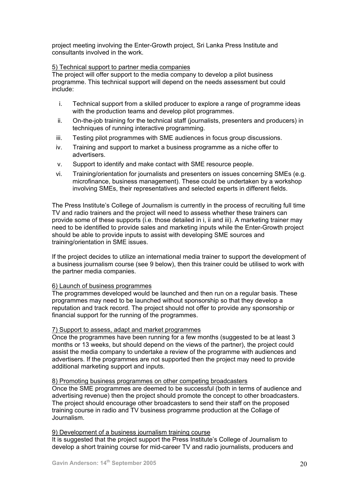project meeting involving the Enter-Growth project, Sri Lanka Press Institute and consultants involved in the work.

# 5) Technical support to partner media companies

The project will offer support to the media company to develop a pilot business programme. This technical support will depend on the needs assessment but could include:

- i. Technical support from a skilled producer to explore a range of programme ideas with the production teams and develop pilot programmes.
- ii. On-the-job training for the technical staff (journalists, presenters and producers) in techniques of running interactive programming.
- iii. Testing pilot programmes with SME audiences in focus group discussions.
- iv. Training and support to market a business programme as a niche offer to advertisers.
- v. Support to identify and make contact with SME resource people.
- vi. Training/orientation for journalists and presenters on issues concerning SMEs (e.g. microfinance, business management). These could be undertaken by a workshop involving SMEs, their representatives and selected experts in different fields.

The Press Institute's College of Journalism is currently in the process of recruiting full time TV and radio trainers and the project will need to assess whether these trainers can provide some of these supports (i.e. those detailed in i, ii and iii). A marketing trainer may need to be identified to provide sales and marketing inputs while the Enter-Growth project should be able to provide inputs to assist with developing SME sources and training/orientation in SME issues.

If the project decides to utilize an international media trainer to support the development of a business journalism course (see 9 below), then this trainer could be utilised to work with the partner media companies.

# 6) Launch of business programmes

The programmes developed would be launched and then run on a regular basis. These programmes may need to be launched without sponsorship so that they develop a reputation and track record. The project should not offer to provide any sponsorship or financial support for the running of the programmes.

# 7) Support to assess, adapt and market programmes

Once the programmes have been running for a few months (suggested to be at least 3 months or 13 weeks, but should depend on the views of the partner), the project could assist the media company to undertake a review of the programme with audiences and advertisers. If the programmes are not supported then the project may need to provide additional marketing support and inputs.

# 8) Promoting business programmes on other competing broadcasters

Once the SME programmes are deemed to be successful (both in terms of audience and advertising revenue) then the project should promote the concept to other broadcasters. The project should encourage other broadcasters to send their staff on the proposed training course in radio and TV business programme production at the Collage of Journalism.

# 9) Development of a business journalism training course

It is suggested that the project support the Press Institute's College of Journalism to develop a short training course for mid-career TV and radio journalists, producers and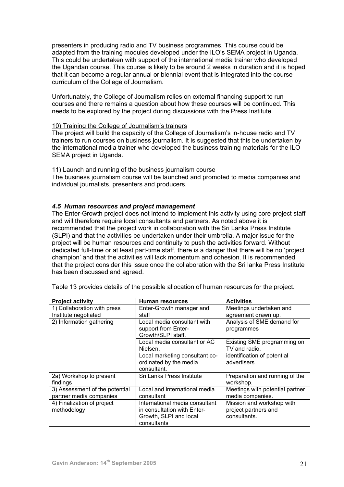presenters in producing radio and TV business programmes. This course could be adapted from the training modules developed under the ILO's SEMA project in Uganda. This could be undertaken with support of the international media trainer who developed the Ugandan course. This course is likely to be around 2 weeks in duration and it is hoped that it can become a regular annual or biennial event that is integrated into the course curriculum of the College of Journalism.

Unfortunately, the College of Journalism relies on external financing support to run courses and there remains a question about how these courses will be continued. This needs to be explored by the project during discussions with the Press Institute.

## 10) Training the College of Journalism's trainers

The project will build the capacity of the College of Journalism's in-house radio and TV trainers to run courses on business journalism. It is suggested that this be undertaken by the international media trainer who developed the business training materials for the ILO SEMA project in Uganda.

## 11) Launch and running of the business journalism course

The business journalism course will be launched and promoted to media companies and individual journalists, presenters and producers.

# *4.5 Human resources and project management*

The Enter-Growth project does not intend to implement this activity using core project staff and will therefore require local consultants and partners. As noted above it is recommended that the project work in collaboration with the Sri Lanka Press Institute (SLPI) and that the activities be undertaken under their umbrella. A major issue for the project will be human resources and continuity to push the activities forward. Without dedicated full-time or at least part-time staff, there is a danger that there will be no 'project champion' and that the activities will lack momentum and cohesion. It is recommended that the project consider this issue once the collaboration with the Sri lanka Press Institute has been discussed and agreed.

| <b>Project activity</b>        | <b>Human resources</b>         | <b>Activities</b>               |
|--------------------------------|--------------------------------|---------------------------------|
| 1) Collaboration with press    | Enter-Growth manager and       | Meetings undertaken and         |
| Institute negotiated           | staff                          | agreement drawn up.             |
| 2) Information gathering       | Local media consultant with    | Analysis of SME demand for      |
|                                | support from Enter-            | programmes                      |
|                                | Growth/SLPI staff.             |                                 |
|                                | Local media consultant or AC   | Existing SME programming on     |
|                                | Nielsen.                       | TV and radio.                   |
|                                | Local marketing consultant co- | identification of potential     |
|                                | ordinated by the media         | advertisers                     |
|                                | consultant.                    |                                 |
| 2a) Workshop to present        | Sri Lanka Press Institute      | Preparation and running of the  |
| findings                       |                                | workshop.                       |
| 3) Assessment of the potential | Local and international media  | Meetings with potential partner |
| partner media companies        | consultant                     | media companies.                |
| 4) Finalization of project     | International media consultant | Mission and workshop with       |
| methodology                    | in consultation with Enter-    | project partners and            |
|                                | Growth, SLPI and local         | consultants.                    |
|                                | consultants                    |                                 |

Table 13 provides details of the possible allocation of human resources for the project.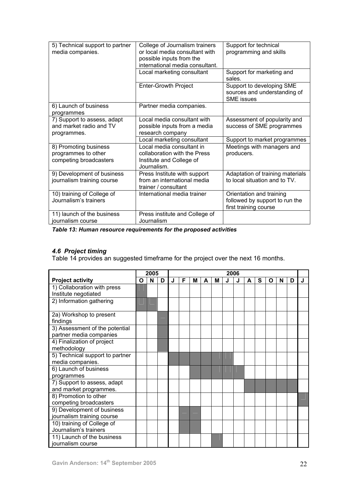| 5) Technical support to partner<br>media companies.                    | College of Journalism trainers<br>or local media consultant with<br>possible inputs from the<br>international media consultant. | Support for technical<br>programming and skills                                     |
|------------------------------------------------------------------------|---------------------------------------------------------------------------------------------------------------------------------|-------------------------------------------------------------------------------------|
|                                                                        | Local marketing consultant                                                                                                      | Support for marketing and<br>sales.                                                 |
|                                                                        | <b>Enter-Growth Project</b>                                                                                                     | Support to developing SME<br>sources and understanding of<br><b>SME</b> issues      |
| 6) Launch of business<br>programmes                                    | Partner media companies.                                                                                                        |                                                                                     |
| 7) Support to assess, adapt<br>and market radio and TV<br>programmes.  | Local media consultant with<br>possible inputs from a media<br>research company                                                 | Assessment of popularity and<br>success of SME programmes                           |
|                                                                        | Local marketing consultant                                                                                                      | Support to market programmes                                                        |
| 8) Promoting business<br>programmes to other<br>competing broadcasters | Local media consultant in<br>collaboration with the Press<br>Institute and College of<br>Journalism.                            | Meetings with managers and<br>producers.                                            |
| 9) Development of business<br>journalism training course               | Press Institute with support<br>from an international media<br>trainer / consultant                                             | Adaptation of training materials<br>to local situation and to TV.                   |
| 10) training of College of<br>Journalism's trainers                    | International media trainer                                                                                                     | Orientation and training<br>followed by support to run the<br>first training course |
| 11) launch of the business<br>journalism course                        | Press institute and College of<br>Journalism                                                                                    |                                                                                     |

*Table 13: Human resource requirements for the proposed activities* 

# *4.6 Project timing*

Table 14 provides an suggested timeframe for the project over the next 16 months.

|                                 | 2005 |   |   |   |   |   |   |   | 2006 |   |   |   |   |   |   |   |
|---------------------------------|------|---|---|---|---|---|---|---|------|---|---|---|---|---|---|---|
| <b>Project activity</b>         | O    | N | D | J | F | м | A | M | J    | J | A | S | O | N | D | J |
| 1) Collaboration with press     |      |   |   |   |   |   |   |   |      |   |   |   |   |   |   |   |
| Institute negotiated            |      |   |   |   |   |   |   |   |      |   |   |   |   |   |   |   |
| 2) Information gathering        |      |   |   |   |   |   |   |   |      |   |   |   |   |   |   |   |
| 2a) Workshop to present         |      |   |   |   |   |   |   |   |      |   |   |   |   |   |   |   |
| findings                        |      |   |   |   |   |   |   |   |      |   |   |   |   |   |   |   |
| 3) Assessment of the potential  |      |   |   |   |   |   |   |   |      |   |   |   |   |   |   |   |
| partner media companies         |      |   |   |   |   |   |   |   |      |   |   |   |   |   |   |   |
| 4) Finalization of project      |      |   |   |   |   |   |   |   |      |   |   |   |   |   |   |   |
| methodology                     |      |   |   |   |   |   |   |   |      |   |   |   |   |   |   |   |
| 5) Technical support to partner |      |   |   |   |   |   |   |   |      |   |   |   |   |   |   |   |
| media companies.                |      |   |   |   |   |   |   |   |      |   |   |   |   |   |   |   |
| 6) Launch of business           |      |   |   |   |   |   |   |   |      |   |   |   |   |   |   |   |
| programmes                      |      |   |   |   |   |   |   |   |      |   |   |   |   |   |   |   |
| 7) Support to assess, adapt     |      |   |   |   |   |   |   |   |      |   |   |   |   |   |   |   |
| and market programmes.          |      |   |   |   |   |   |   |   |      |   |   |   |   |   |   |   |
| 8) Promotion to other           |      |   |   |   |   |   |   |   |      |   |   |   |   |   |   |   |
| competing broadcasters          |      |   |   |   |   |   |   |   |      |   |   |   |   |   |   |   |
| 9) Development of business      |      |   |   |   |   |   |   |   |      |   |   |   |   |   |   |   |
| journalism training course      |      |   |   |   |   |   |   |   |      |   |   |   |   |   |   |   |
| 10) training of College of      |      |   |   |   |   |   |   |   |      |   |   |   |   |   |   |   |
| Journalism's trainers           |      |   |   |   |   |   |   |   |      |   |   |   |   |   |   |   |
| 11) Launch of the business      |      |   |   |   |   |   |   |   |      |   |   |   |   |   |   |   |
| journalism course               |      |   |   |   |   |   |   |   |      |   |   |   |   |   |   |   |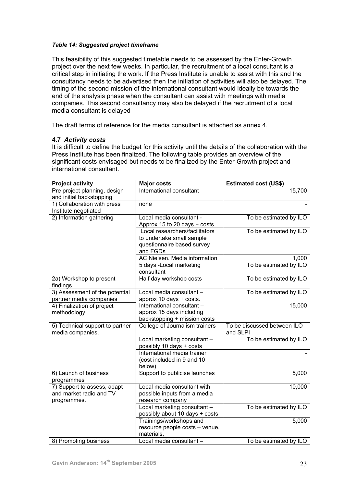## *Table 14: Suggested project timeframe*

This feasibility of this suggested timetable needs to be assessed by the Enter-Growth project over the next few weeks. In particular, the recruitment of a local consultant is a critical step in initiating the work. If the Press Institute is unable to assist with this and the consultancy needs to be advertised then the initiation of activities will also be delayed. The timing of the second mission of the international consultant would ideally be towards the end of the analysis phase when the consultant can assist with meetings with media companies. This second consultancy may also be delayed if the recruitment of a local media consultant is delayed

The draft terms of reference for the media consultant is attached as annex 4.

## **4.7** *Activity costs*

It is difficult to define the budget for this activity until the details of the collaboration with the Press Institute has been finalized. The following table provides an overview of the significant costs envisaged but needs to be finalized by the Enter-Growth project and international consultant.

| <b>Project activity</b>         | <b>Major costs</b>                                      | <b>Estimated cost (US\$)</b> |
|---------------------------------|---------------------------------------------------------|------------------------------|
| Pre project planning, design    | International consultant                                | 15,700                       |
| and initial backstopping        |                                                         |                              |
| 1) Collaboration with press     | none                                                    |                              |
| Institute negotiated            |                                                         |                              |
| 2) Information gathering        | Local media consultant -                                | To be estimated by ILO       |
|                                 | Approx 15 to 20 days + costs                            |                              |
|                                 | Local researchers/facilitators                          | To be estimated by ILO       |
|                                 | to undertake small sample                               |                              |
|                                 | questionnaire based survey                              |                              |
|                                 | and FGDs                                                |                              |
|                                 | AC Nielsen. Media information                           | 1,000                        |
|                                 | 5 days -Local marketing                                 | To be estimated by ILO       |
|                                 | consultant                                              |                              |
| 2a) Workshop to present         | Half day workshop costs                                 | To be estimated by ILO       |
| findings.                       |                                                         |                              |
| 3) Assessment of the potential  | Local media consultant -                                | To be estimated by ILO       |
| partner media companies         | approx 10 days + costs.                                 |                              |
| 4) Finalization of project      | International consultant -                              | 15,000                       |
| methodology                     | approx 15 days including                                |                              |
|                                 | backstopping + mission costs                            |                              |
| 5) Technical support to partner | College of Journalism trainers                          | To be discussed between ILO  |
| media companies.                |                                                         | and SLPI                     |
|                                 | Local marketing consultant -                            | To be estimated by ILO       |
|                                 | possibly 10 days + costs<br>International media trainer |                              |
|                                 |                                                         |                              |
|                                 | (cost included in 9 and 10<br>below)                    |                              |
| 6) Launch of business           | Support to publicise launches                           | 5,000                        |
| programmes                      |                                                         |                              |
| 7) Support to assess, adapt     | Local media consultant with                             | 10,000                       |
| and market radio and TV         | possible inputs from a media                            |                              |
| programmes.                     | research company                                        |                              |
|                                 | Local marketing consultant -                            | To be estimated by ILO       |
|                                 | possibly about 10 days + costs                          |                              |
|                                 | Trainings/workshops and                                 | 5,000                        |
|                                 | resource people costs - venue,                          |                              |
|                                 | materials,                                              |                              |
| 8) Promoting business           | Local media consultant -                                | To be estimated by ILO       |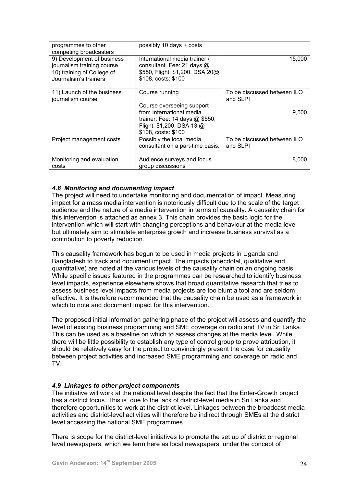| programmes to other<br>competing broadcasters                                                                   | possibly 10 days + costs                                                                                              |                                         |
|-----------------------------------------------------------------------------------------------------------------|-----------------------------------------------------------------------------------------------------------------------|-----------------------------------------|
| 9) Development of business<br>journalism training course<br>10) training of College of<br>Journalism's trainers | International media trainer /<br>consultant. Fee: 21 days @<br>\$550, Flight: \$1,200, DSA 20@<br>\$108, costs: \$100 | 15,000                                  |
| 11) Launch of the business<br>journalism course                                                                 | Course running<br>Course overseeing support<br>from International media                                               | To be discussed between ILO<br>and SLPI |
|                                                                                                                 | trainer: Fee: 14 days @ \$550,<br>Flight: \$1,200, DSA 13 @<br>\$108, costs: \$100                                    | 9,500                                   |
| Project management costs                                                                                        | Possibly the local media<br>consultant on a part-time basis.                                                          | To be discussed between ILO<br>and SLPI |
| Monitoring and evaluation<br>costs                                                                              | Audience surveys and focus<br>group discussions                                                                       | 8,000                                   |

# *4.8 Monitoring and documenting impact*

The project will need to undertake monitoring and documentation of impact. Measuring impact for a mass media intervention is notoriously difficult due to the scale of the target audience and the nature of a media intervention in terms of causality. A causality chain for this intervention is attached as annex 3. This chain provides the basic logic for the intervention which will start with changing perceptions and behaviour at the media level but ultimately aim to stimulate enterprise growth and increase business survival as a contribution to poverty reduction.

This causality framework has begun to be used in media projects in Uganda and Bangladesh to track and document impact. The impacts (anecdotal, qualitative and quantitative) are noted at the various levels of the causality chain on an ongoing basis. While specific issues featured in the programmes can be researched to identify business level impacts, experience elsewhere shows that broad quantitative research that tries to assess business level impacts from media projects are too blunt a tool and are seldom effective. It is therefore recommended that the causality chain be used as a framework in which to note and document impact for this intervention.

The proposed initial information gathering phase of the project will assess and quantify the level of existing business programming and SME coverage on radio and TV in Sri Lanka. This can be used as a baseline on which to assess changes at the media level. While there will be little possibility to establish any type of control group to prove attribution, it should be relatively easy for the project to convincingly present the case for causality between project activities and increased SME programming and coverage on radio and TV.

# *4.9 Linkages to other project components*

The initiative will work at the national level despite the fact that the Enter-Growth project has a district focus. This is due to the lack of district-level media in Sri Lanka and therefore opportunities to work at the district level. Linkages between the broadcast media activities and district-level activities will therefore be indirect through SMEs at the district level accessing the national SME programmes.

There is scope for the district-level initiatives to promote the set up of district or regional level newspapers, which we term here as local newspapers, under the concept of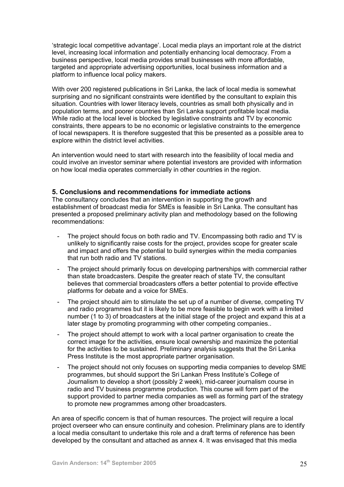'strategic local competitive advantage'. Local media plays an important role at the district level, increasing local information and potentially enhancing local democracy. From a business perspective, local media provides small businesses with more affordable, targeted and appropriate advertising opportunities, local business information and a platform to influence local policy makers.

With over 200 registered publications in Sri Lanka, the lack of local media is somewhat surprising and no significant constraints were identified by the consultant to explain this situation. Countries with lower literacy levels, countries as small both physically and in population terms, and poorer countries than Sri Lanka support profitable local media. While radio at the local level is blocked by legislative constraints and TV by economic constraints, there appears to be no economic or legislative constraints to the emergence of local newspapers. It is therefore suggested that this be presented as a possible area to explore within the district level activities.

An intervention would need to start with research into the feasibility of local media and could involve an investor seminar where potential investors are provided with information on how local media operates commercially in other countries in the region.

## **5. Conclusions and recommendations for immediate actions**

The consultancy concludes that an intervention in supporting the growth and establishment of broadcast media for SMEs is feasible in Sri Lanka. The consultant has presented a proposed preliminary activity plan and methodology based on the following recommendations:

- The project should focus on both radio and TV. Encompassing both radio and TV is unlikely to significantly raise costs for the project, provides scope for greater scale and impact and offers the potential to build synergies within the media companies that run both radio and TV stations.
- The project should primarily focus on developing partnerships with commercial rather than state broadcasters. Despite the greater reach of state TV, the consultant believes that commercial broadcasters offers a better potential to provide effective platforms for debate and a voice for SMEs.
- The project should aim to stimulate the set up of a number of diverse, competing TV and radio programmes but it is likely to be more feasible to begin work with a limited number (1 to 3) of broadcasters at the initial stage of the project and expand this at a later stage by promoting programming with other competing companies..
- The project should attempt to work with a local partner organisation to create the correct image for the activities, ensure local ownership and maximize the potential for the activities to be sustained. Preliminary analysis suggests that the Sri Lanka Press Institute is the most appropriate partner organisation.
- The project should not only focuses on supporting media companies to develop SME programmes, but should support the Sri Lankan Press Institute's College of Journalism to develop a short (possibly 2 week), mid-career journalism course in radio and TV business programme production. This course will form part of the support provided to partner media companies as well as forming part of the strategy to promote new programmes among other broadcasters.

An area of specific concern is that of human resources. The project will require a local project overseer who can ensure continuity and cohesion. Preliminary plans are to identify a local media consultant to undertake this role and a draft terms of reference has been developed by the consultant and attached as annex 4. It was envisaged that this media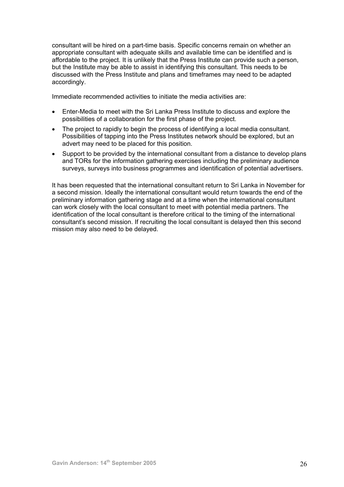consultant will be hired on a part-time basis. Specific concerns remain on whether an appropriate consultant with adequate skills and available time can be identified and is affordable to the project. It is unlikely that the Press Institute can provide such a person, but the Institute may be able to assist in identifying this consultant. This needs to be discussed with the Press Institute and plans and timeframes may need to be adapted accordingly.

Immediate recommended activities to initiate the media activities are:

- Enter-Media to meet with the Sri Lanka Press Institute to discuss and explore the possibilities of a collaboration for the first phase of the project.
- The project to rapidly to begin the process of identifying a local media consultant. Possibilities of tapping into the Press Institutes network should be explored, but an advert may need to be placed for this position.
- Support to be provided by the international consultant from a distance to develop plans and TORs for the information gathering exercises including the preliminary audience surveys, surveys into business programmes and identification of potential advertisers.

It has been requested that the international consultant return to Sri Lanka in November for a second mission. Ideally the international consultant would return towards the end of the preliminary information gathering stage and at a time when the international consultant can work closely with the local consultant to meet with potential media partners. The identification of the local consultant is therefore critical to the timing of the international consultant's second mission. If recruiting the local consultant is delayed then this second mission may also need to be delayed.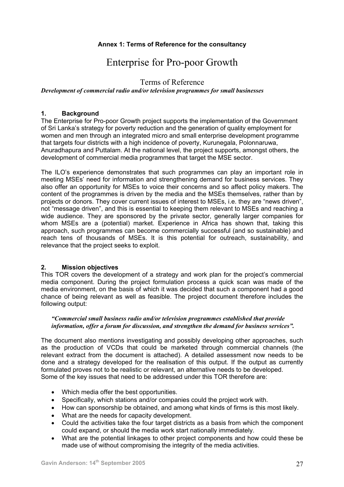# **Annex 1: Terms of Reference for the consultancy**

# Enterprise for Pro-poor Growth

# Terms of Reference

*Development of commercial radio and/or television programmes for small businesses* 

# **1. Background**

The Enterprise for Pro-poor Growth project supports the implementation of the Government of Sri Lanka's strategy for poverty reduction and the generation of quality employment for women and men through an integrated micro and small enterprise development programme that targets four districts with a high incidence of poverty, Kurunegala, Polonnaruwa, Anuradhapura and Puttalam. At the national level, the project supports, amongst others, the development of commercial media programmes that target the MSE sector.

The ILO's experience demonstrates that such programmes can play an important role in meeting MSEs' need for information and strengthening demand for business services. They also offer an opportunity for MSEs to voice their concerns and so affect policy makers. The content of the programmes is driven by the media and the MSEs themselves, rather than by projects or donors. They cover current issues of interest to MSEs, i.e. they are "news driven", not "message driven", and this is essential to keeping them relevant to MSEs and reaching a wide audience. They are sponsored by the private sector, generally larger companies for whom MSEs are a (potential) market. Experience in Africa has shown that, taking this approach, such programmes can become commercially successful (and so sustainable) and reach tens of thousands of MSEs. It is this potential for outreach, sustainability, and relevance that the project seeks to exploit.

# **2. Mission objectives**

This TOR covers the development of a strategy and work plan for the project's commercial media component. During the project formulation process a quick scan was made of the media environment, on the basis of which it was decided that such a component had a good chance of being relevant as well as feasible. The project document therefore includes the following output:

## *"Commercial small business radio and/or television programmes established that provide information, offer a forum for discussion, and strengthen the demand for business services".*

The document also mentions investigating and possibly developing other approaches, such as the production of VCDs that could be marketed through commercial channels (the relevant extract from the document is attached). A detailed assessment now needs to be done and a strategy developed for the realisation of this output. If the output as currently formulated proves not to be realistic or relevant, an alternative needs to be developed. Some of the key issues that need to be addressed under this TOR therefore are:

- Which media offer the best opportunities.
- Specifically, which stations and/or companies could the project work with.
- How can sponsorship be obtained, and among what kinds of firms is this most likely.
- What are the needs for capacity development.
- Could the activities take the four target districts as a basis from which the component could expand, or should the media work start nationally immediately.
- What are the potential linkages to other project components and how could these be made use of without compromising the integrity of the media activities.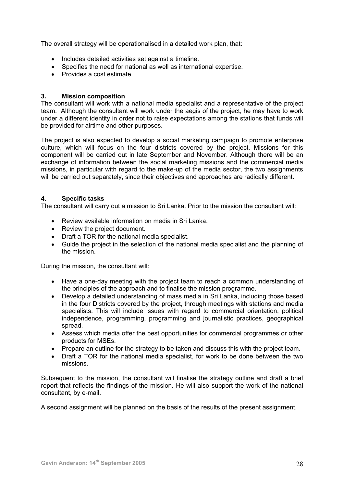The overall strategy will be operationalised in a detailed work plan, that:

- Includes detailed activities set against a timeline.
- Specifies the need for national as well as international expertise.
- Provides a cost estimate.

# **3. Mission composition**

The consultant will work with a national media specialist and a representative of the project team. Although the consultant will work under the aegis of the project, he may have to work under a different identity in order not to raise expectations among the stations that funds will be provided for airtime and other purposes.

The project is also expected to develop a social marketing campaign to promote enterprise culture, which will focus on the four districts covered by the project. Missions for this component will be carried out in late September and November. Although there will be an exchange of information between the social marketing missions and the commercial media missions, in particular with regard to the make-up of the media sector, the two assignments will be carried out separately, since their objectives and approaches are radically different.

# **4. Specific tasks**

The consultant will carry out a mission to Sri Lanka. Prior to the mission the consultant will:

- Review available information on media in Sri Lanka.
- Review the project document.
- Draft a TOR for the national media specialist.
- Guide the project in the selection of the national media specialist and the planning of the mission.

During the mission, the consultant will:

- Have a one-day meeting with the project team to reach a common understanding of the principles of the approach and to finalise the mission programme.
- Develop a detailed understanding of mass media in Sri Lanka, including those based in the four Districts covered by the project, through meetings with stations and media specialists. This will include issues with regard to commercial orientation, political independence, programming, programming and journalistic practices, geographical spread.
- Assess which media offer the best opportunities for commercial programmes or other products for MSEs.
- Prepare an outline for the strategy to be taken and discuss this with the project team.
- Draft a TOR for the national media specialist, for work to be done between the two missions.

Subsequent to the mission, the consultant will finalise the strategy outline and draft a brief report that reflects the findings of the mission. He will also support the work of the national consultant, by e-mail.

A second assignment will be planned on the basis of the results of the present assignment.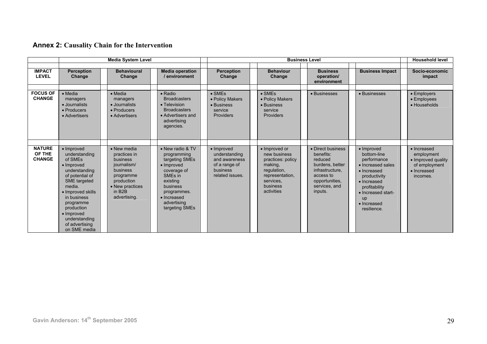# **Annex 2: Causality Chain for the Intervention**

|                                          |                                                                                                                                                                                                                                                    | <b>Media System Level</b>                                                                                                                                      |                                                                                                                                                                                                      |                                                                                                      |                                                                                                                                        | <b>Business Level</b>                                                                                                                      |                                                                                                                                                                                                       | <b>Household level</b>                                                                      |
|------------------------------------------|----------------------------------------------------------------------------------------------------------------------------------------------------------------------------------------------------------------------------------------------------|----------------------------------------------------------------------------------------------------------------------------------------------------------------|------------------------------------------------------------------------------------------------------------------------------------------------------------------------------------------------------|------------------------------------------------------------------------------------------------------|----------------------------------------------------------------------------------------------------------------------------------------|--------------------------------------------------------------------------------------------------------------------------------------------|-------------------------------------------------------------------------------------------------------------------------------------------------------------------------------------------------------|---------------------------------------------------------------------------------------------|
| <b>IMPACT</b><br><b>LEVEL</b>            | <b>Perception</b><br>Change                                                                                                                                                                                                                        | <b>Behavioural</b><br>Change                                                                                                                                   | <b>Media operation</b><br>/ environment                                                                                                                                                              | <b>Perception</b><br>Change                                                                          | <b>Behaviour</b><br>Change                                                                                                             | <b>Business</b><br>operation/<br>environment                                                                                               | <b>Business Impact</b>                                                                                                                                                                                | Socio-economic<br>impact                                                                    |
| <b>FOCUS OF</b><br><b>CHANGE</b>         | $\bullet$ Media<br>managers<br>• Journalists<br>• Producers<br>• Advertisers                                                                                                                                                                       | $\bullet$ Media<br>managers<br>• Journalists<br>• Producers<br>• Advertisers                                                                                   | • Radio<br><b>Broadcasters</b><br>• Television<br><b>Broadcasters</b><br>• Advertisers and<br>advertising<br>agencies.                                                                               | $\bullet$ SMEs<br>• Policy Makers<br>• Business<br>service<br><b>Providers</b>                       | $\bullet$ SMEs<br>• Policy Makers<br>• Business<br>service<br><b>Providers</b>                                                         | • Businesses                                                                                                                               | • Businesses                                                                                                                                                                                          | • Employers<br>$\bullet$ Employees<br>• Households                                          |
| <b>NATURE</b><br>OF THE<br><b>CHANGE</b> | • Improved<br>understanding<br>of SMEs<br>• Improved<br>understanding<br>of potential of<br>SME targeted<br>media.<br>• Improved skills<br>in business<br>programme<br>production<br>• Improved<br>understanding<br>of advertising<br>on SME media | • New media<br>practices in<br><b>business</b><br>journalism/<br>business<br>programme<br>production<br>• New practices<br>in B <sub>2</sub> B<br>advertising. | • New radio & TV<br>programming<br>targeting SMEs<br>$\bullet$ Improved<br>coverage of<br>SME <sub>s</sub> in<br>existing<br>business<br>programmes.<br>• Increased<br>advertising<br>targeting SMEs | $\bullet$ Improved<br>understanding<br>and awareness<br>of a range of<br>business<br>related issues. | • Improved or<br>new business<br>practices: policy<br>making,<br>regulation,<br>representation,<br>services.<br>business<br>activities | • Direct business<br>benefits:<br>reduced<br>burdens, better<br>infrastructure.<br>access to<br>opportunities.<br>services, and<br>inputs. | $\bullet$ Improved<br>bottom-line<br>performance<br>• Increased sales<br>• Increased<br>productivity<br>• Increased<br>profitability<br>• Increased start-<br><b>up</b><br>• Increased<br>resilience. | • Increased<br>employment<br>• Improved quality<br>of employment<br>• Increased<br>incomes. |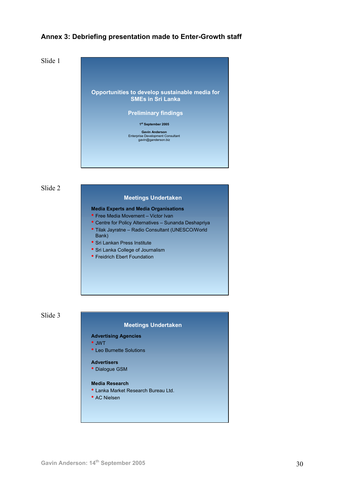# **Annex 3: Debriefing presentation made to Enter-Growth staff**

Slide 1



Slide 2

#### **Meetings Undertaken**

#### **Media Experts and Media Organisations**

- Free Media Movement Victor Ivan
- Centre for Policy Alternatives Sunanda Deshapriya
- Tilak Jayratne Radio Consultant (UNESCO/World
- Bank) • Sri Lankan Press Institute
- Sri Lanka College of Journalism
- Freidrich Ebert Foundation



#### **Meetings Undertaken**

## **Advertising Agencies**

- JWT
- Leo Burnette Solutions

#### **Advertisers**

• Dialogue GSM

# **Media Research**

- Lanka Market Research Bureau Ltd.
- AC Nielsen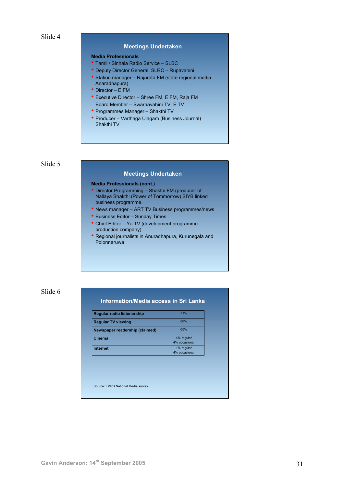#### **Meetings Undertaken**

#### **Media Professionals**

- Tamil / Sinhala Radio Service SLBC
- Deputy Director General: SLRC Rupavahini
- Station manager Rajarata FM (state regional media
- Anaradhapura) • Director – E FM
- Executive Director Shree FM, E FM, Raja FM Board Member – Swarnavahini TV, E TV
- Programmes Manager Shakthi TV
- Producer Varthaga Ulagam (Business Journal) Shakthi TV

#### Slide 5

#### **Meetings Undertaken**

#### **Media Professionals (cont.)**

- Director Programming Shakthi FM (producer of Nallaya Shakthi (Power of Tommorrow) SIYB linked business programme.
- News manager ART TV Business programmes/news
- Business Editor Sunday Times
- Chief Editor Ya TV (development programme production company)
- Regional journalists in Anuradhapura, Kurunegala and Polonnaruwa

## Slide 6

## **Information/Media access in Sri Lanka**

| Regular radio listenership     | 71%           |
|--------------------------------|---------------|
| <b>Regular TV viewing</b>      | 80%           |
| Newspaper readership (claimed) | 65%           |
| Cinema                         | 4% regular    |
|                                | 4% occasional |
| Internet                       | 1% regular    |
|                                | 4% occasional |

Source: LMRB National Media survey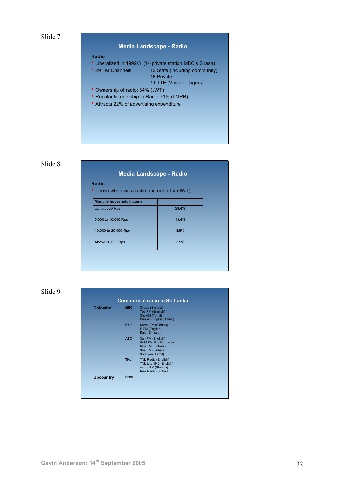

# **Media Landscape - Radio**

#### **Radio**

- Liberalized in 1992/3 (1st private station MBC's Sirasa)
- 29 FM Channels 12 State (including community) 16 Private
	- 1 LTTE (Voice of Tigers)
- Ownership of radio: 84% (JWT)
- Regular listenership to Radio 71% (LMRB)
- Attracts 22% of advertising expenditure

# Slide 8

| <b>Monthly household income</b> |       |
|---------------------------------|-------|
| Up to 5000 Rps                  | 28.4% |
| 5,000 to 10,000 Rps             | 13.4% |
| 10,000 to 20,000 Rps            | 8.5%  |
| Above 20,000 Rps                | 3.5%  |

**Media Landscape - Radio**

Slide 9

| Colombo          |             | <b>MBC</b> - Sirasa (Sinhala)<br>Yes FM (English)<br>Shakthi (Tamil)<br>Classic (English, Older)         |  |
|------------------|-------------|----------------------------------------------------------------------------------------------------------|--|
|                  | EAP-        | Shree FM (Sinhala)<br>E FM (English)<br>Raja (Sinhala)                                                   |  |
|                  | $ABC -$     | Sun FM (English)<br>Gold FM (English, older)<br>Hiru FM (Sinhala)<br>Sha FM (Sinhala<br>Sooriyan (Tamil) |  |
|                  | $TNL -$     | TNL Radio (English)<br>TNL Lite 89.2 (English)<br>Asura FM (Sinhala)<br>Isira Radio (Sinhala)            |  |
| <b>Upcountry</b> | <b>None</b> |                                                                                                          |  |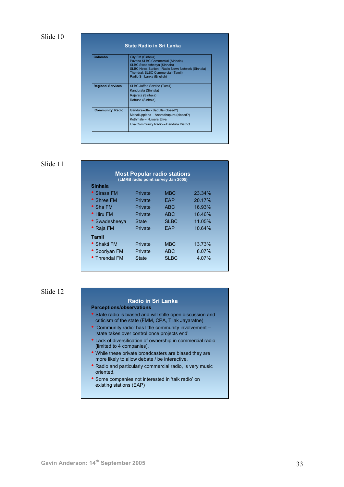| Colombo                  | City FM (Sinhala)<br>Pavana SLBC Commercial (Sinhala)<br>SLBC Swadesheeya (Sinhala)<br>SLBC News Station - Radio News Network (Sinhala)<br>Thendral: SLBC Commercial (Tamil)<br>Radio Sri Lanka (English) |
|--------------------------|-----------------------------------------------------------------------------------------------------------------------------------------------------------------------------------------------------------|
| <b>Regional Services</b> | SLBC Jaffna Service (Tamil)<br>Kandurata (Sinhala)<br>Rajarata (Sinhala)<br>Rahuna (Sinhala)                                                                                                              |
| 'Community' Radio        | Gandurakotte - Badulla (closed?)<br>Mahailupplana - Anaradhapura (closed?)<br>Kothmale - Nuwara Eliya<br>Uva Community Radio - Bandulla District                                                          |

| <b>Most Popular radio stations</b><br>(LMRB radio point survey Jan 2005) |                |                  |        |  |
|--------------------------------------------------------------------------|----------------|------------------|--------|--|
| Sinhala                                                                  |                |                  |        |  |
| • Sirasa FM                                                              | <b>Private</b> | <b>MBC</b>       | 23.34% |  |
| • Shree FM                                                               | Private        | FAP              | 20.17% |  |
| $\bullet$ Sha FM                                                         | <b>Private</b> | A <sub>B</sub> C | 16.93% |  |
| $\bullet$ Hiru FM                                                        | <b>Private</b> | <b>ABC</b>       | 16.46% |  |
| • Swadesheeya                                                            | State          | <b>SLBC</b>      | 11.05% |  |
| $\bullet$ Raja FM                                                        | Private        | FAP              | 10.64% |  |
| Tamil                                                                    |                |                  |        |  |
| • Shakti FM                                                              | Private        | <b>MBC</b>       | 13.73% |  |
| • Sooriyan FM                                                            | Private        | <b>ABC</b>       | 8.07%  |  |
| • Threndal FM                                                            | State          | <b>SLBC</b>      | 4.07%  |  |
|                                                                          |                |                  |        |  |

# Slide 12

## **Radio in Sri Lanka**

**Perceptions/observations**

- State radio is biased and will stifle open discussion and criticism of the state (FMM, CPA, Tilak Jayaratne)
- 'Community radio' has little community involvement 'state takes over control once projects end'
- Lack of diversification of ownership in commercial radio (limited to 4 companies).
- While these private broadcasters are biased they are more likely to allow debate / be interactive.
- Radio and particularly commercial radio, is very music oriented.
- Some companies not interested in 'talk radio' on existing stations (EAP)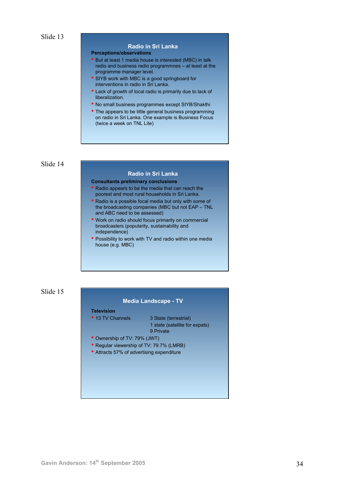## **Radio in Sri Lanka**

#### **Perceptions/observations**

- But at least 1 media house is interested (MBC) in talk radio and business radio programmnes – at least at the programme manager level.
- SIYB work with MBC is a good springboard for interventions in radio in Sri Lanka.
- Lack of growth of local radio is primarily due to lack of liberalization.
- No small business programmes except SIYB/Shakthi
- The appears to be little general business programming on radio in Sri Lanka. One example is Business Focus (twice a week on TNL Lite)

### Slide 14

### **Radio in Sri Lanka**

**Consultants preliminary conclusions**

- Radio appears to be the media that can reach the poorest and most rural households in Sri Lanka.
- Radio is a possible focal media but only with some of the broadcasting companies (MBC but not EAP – TNL and ABC need to be assessed)
- Work on radio should focus primarily on commercial broadcasters (popularity, sustainability and independence)
- Possibility to work with TV and radio within one media house (e.g. MBC)

## Slide 15

### **Media Landscape - TV**

#### **Television**

• 13 TV Channels 3 State (terrestrial) 1 state (satellite for expats) 9 Private

- Ownership of TV: 79% (JWT)
- Regular viewership of TV: 79.7% (LMRB)
- Attracts 57% of advertising expenditure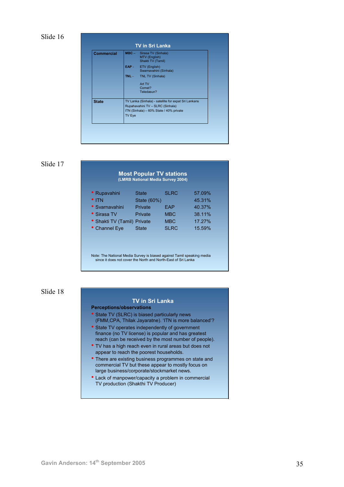| <b>Commercial</b> |        | <b>MBC</b> - Sirasa TV (Sinhala)<br>MTV (English)<br>Shakti TV (Tamil)                   |
|-------------------|--------|------------------------------------------------------------------------------------------|
|                   |        | EAP - ETV (English)<br>Swarnavahini (Sinhala)                                            |
|                   |        | <b>TNL - TNL TV (Sinhala)</b>                                                            |
|                   |        | Art TV<br>Comet?<br>Teledasun?                                                           |
| <b>State</b>      |        | TV Lanka (Sinhala) - satellite for expat Sri Lankans<br>Rupahavahini TV - SLRC (Sinhala) |
|                   | TV Eye | ITN (Sinhala) - 60% State / 40% private                                                  |

#### Slide 17

# **Most Popular TV stations (LMRB National Media Survey 2004)**

| • Rupavahini                | <b>State</b> | <b>SLRC</b> | 57.09% |
|-----------------------------|--------------|-------------|--------|
| $^{\bullet}$ ITN            | State (60%)  |             | 45.31% |
| · Svarnavahini              | Private      | <b>FAP</b>  | 40.37% |
| • Sirasa TV                 | Private      | <b>MBC</b>  | 38.11% |
| • Shakti TV (Tamil) Private |              | <b>MBC</b>  | 17.27% |
| • Channel Eye               | <b>State</b> | <b>SLRC</b> | 15.59% |
|                             |              |             |        |

Note: The National Media Survey is biased against Tamil speaking media since it does not cover the North and North-East of Sri Lanka

# Slide 18

# **TV in Sri Lanka**

#### **Perceptions/observations**

- State TV (SLRC) is biased particularly news (FMM,CPA, Thilak Jayaratne). 'ITN is more balanced'?
- State TV operates independently of government finance (no TV license) is popular and has greatest reach (can be received by the most number of people).
- TV has a high reach even in rural areas but does not appear to reach the poorest households.
- There are existing business programmes on state and commercial TV but these appear to mostly focus on large business/corporate/stockmarket news.
- Lack of manpower/capacity a problem in commercial TV production (Shakthi TV Producer)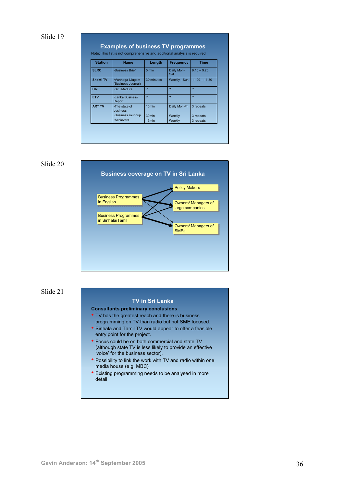| <b>Station</b>   | <b>Name</b>                            | Length                   | <b>Frequency</b>         | <b>Time</b>              |
|------------------|----------------------------------------|--------------------------|--------------------------|--------------------------|
| <b>SLRC</b>      | <b>.</b> Business Brief                | 5 min                    | Daily Mon-<br>Sat        | $9.15 - 9.20$            |
| <b>Shakti TV</b> | •Varthaga Ulagam<br>(Business Journal) | 30 minutes               | Weekly - Sun             | $11.00 - 11.30$          |
| <b>ITN</b>       | .Situ Medura                           | $\overline{\mathcal{L}}$ | $\overline{\mathcal{L}}$ | $\overline{\phantom{a}}$ |
| <b>ETV</b>       | •Lanka Business<br>Report              | 2                        | $\overline{\phantom{a}}$ | $\overline{\phantom{a}}$ |
| <b>ART TV</b>    | •The state of<br>business              | 15 <sub>min</sub>        | Daily Mon-Fri            | 3 repeats                |
|                  | •Business roundup                      | 30 <sub>min</sub>        | Weekly                   | 3 repeats                |
|                  | •Achievers                             | 15 <sub>min</sub>        | Weekly                   | 3 repeats                |



Slide 21

#### **TV in Sri Lanka**

**Consultants preliminary conclusions**

- TV has the greatest reach and there is business programming on TV than radio but not SME focused.
- Sinhala and Tamil TV would appear to offer a feasible entry point for the project.
- Focus could be on both commercial and state TV (although state TV is less likely to provide an effective 'voice' for the business sector).
- Possibility to link the work with TV and radio within one media house (e.g. MBC)
- Existing programming needs to be analysed in more detail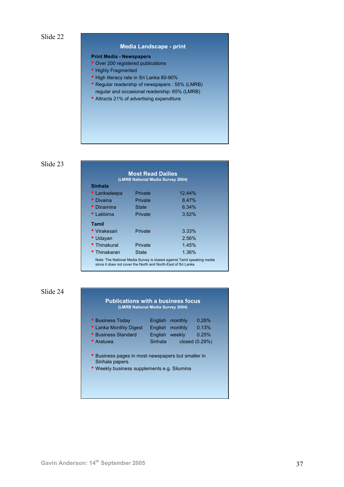### **Media Landscape - print**

## **Print Media - Newspapers**

- Over 200 registered publications
- Highly Fragmented
- High literacy rate in Sri Lanka 80-90%
- Regular readership of newspapers : 55% (LMRB) regular and occasional readership: 65% (LMRB)
- Attracts 21% of advertising expenditure

### Slide 23

| <b>Most Read Dailies</b><br>(LMRB National Media Survey 2004)                                                                           |                |        |  |  |
|-----------------------------------------------------------------------------------------------------------------------------------------|----------------|--------|--|--|
| <b>Sinhala</b>                                                                                                                          |                |        |  |  |
| • Lankadeepa                                                                                                                            | <b>Private</b> | 12.44% |  |  |
| • Divaina                                                                                                                               | Private        | 8.47%  |  |  |
| • Dinamina                                                                                                                              | State          | 6.34%  |  |  |
| $\bullet$ Lakbima                                                                                                                       | Private        | 3.52%  |  |  |
| <b>Tamil</b>                                                                                                                            |                |        |  |  |
| • Virakesari                                                                                                                            | Private        | 3.33%  |  |  |
| • Udayan                                                                                                                                |                | 2.56%  |  |  |
| • Thinakural                                                                                                                            | Private        | 1.45%  |  |  |
| • Thinakaran                                                                                                                            | State          | 1.36%  |  |  |
| Note: The National Media Survey is biased against Tamil speaking media<br>since it does not cover the North and North-East of Sri Lanka |                |        |  |  |

# Slide 24

#### **Publications with a business focus (LMRB National Media Survey 2004)**

| • Business Today                                 |                | English monthly | 0.28% |  |
|--------------------------------------------------|----------------|-----------------|-------|--|
| • Lanka Monthly Digest                           |                | English monthly | 0.13% |  |
| • Business Standard                              | <b>English</b> | weekly          | 0.25% |  |
| • Aratuwa                                        | Sinhala        | closed (0.29%)  |       |  |
|                                                  |                |                 |       |  |
| Business pages in most newspapers but smaller in |                |                 |       |  |
| Sinhala papers.                                  |                |                 |       |  |

• Weekly business supplements e.g. Silumina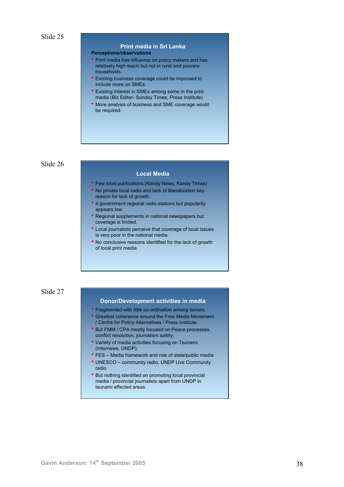# **Print media in Sri Lanka**

#### **Perceptions/observations**

- Print media has influence on policy makers and has relatively high reach but not in rural and poorere households.
- Existing business coverage could be improved to include more on SMEs.
- Existing interest in SMEs among some in the print media (Biz Editor- Sunday Times, Press Institute)
- More analysis of business and SME coverage would be required.

Slide 26

#### **Local Media**

- Few local publications (Kandy News, Kandy Times)
- No private local radio and lack of liberalization key reason for lack of growth.
- 4 government regional radio stations but popularity appears low
- Regional supplements in national newspapers but coverage is limited.
- Local journalists perceive that coverage of local issues is very poor in the national media.
- No conclusive reasons identified for the lack of growth of local print media.

## Slide 27

#### **Donor/Development activities in media**

- Fragmented with little co-ordination among donors.
- Greatest coherence around the Free Media Movement / Centre for Policy Alternatives / Press Institute.
- But FMM / CPA mostly focused on Peace processes, conflict resolution, journalism safety.
- Variety of media activities focusing on Tsunami (Internews, UNDP).
- FES Media framework and role of state/public media
- UNESCO community radio, UNDP Uve Community radio
- But nothing identified on promoting local provincial media / provincial journalists apart from UNDP in tsunami effected areas.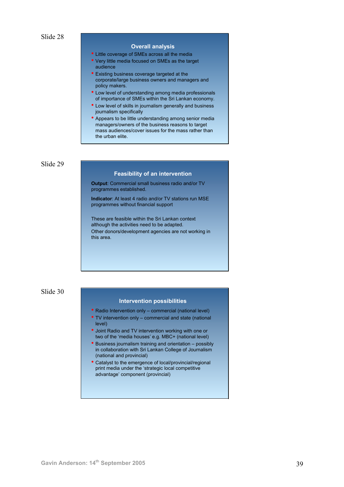#### **Overall analysis**

- Little coverage of SMEs across all the media
- Very little media focused on SMEs as the target audience
- Existing business coverage targeted at the corporate/large business owners and managers and policy makers.
- Low level of understanding among media professionals of importance of SMEs within the Sri Lankan economy.
- Low level of skills in journalism generally and business journalism specifically
- Appears to be little understanding among senior media managers/owners of the business reasons to target mass audiences/cover issues for the mass rather than the urban elite.

#### Slide 29

#### **Feasibility of an intervention**

**Output**: Commercial small business radio and/or TV programmes established.

**Indicator**: At least 4 radio and/or TV stations run MSE programmes without financial support

These are feasible within the Sri Lankan context although the activities need to be adapted. Other donors/development agencies are not working in this area.

## Slide 30

#### **Intervention possibilities**

- Radio Intervention only commercial (national level)
- TV intervention only commercial and state (national level)
- Joint Radio and TV intervention working with one or two of the 'media houses' e.g. MBC+ (national level)
- Business journalism training and orientation possibly in collaboration with Sri Lankan College of Journalism (national and provincial)
- Catalyst to the emergence of local/provincial/regional print media under the 'strategic local competitive advantage' component (provincial)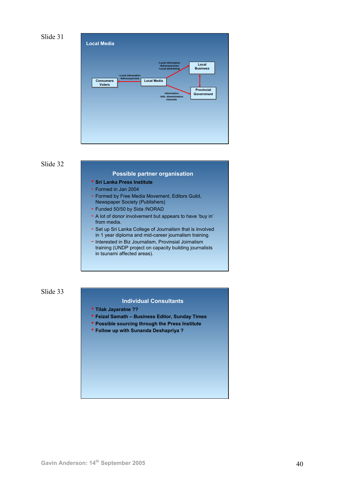



#### **Possible partner organisation**

- **Sri Lanka Press Institute**
- Formed in Jan 2004
- Formed by Free Media Movement, Editors Guild, Newspaper Society (Publishers)
- Funded 50/50 by Sida /NORAD
- A lot of donor involvement but appears to have 'buy in' from media.
- Set up Sri Lanka College of Journalism that is involved in 1 year diploma and mid-career journalism training.
- Interested in Biz Journalism, Provinsial Joirnalism training (UNDP project on capacity building journalists in tsunami affected areas).

Slide 33

## **Individual Consultants**

- **Tilak Jayaratne ??**
- **Feizal Samath Business Editor, Sunday Times**
- **Possible sourcing through the Press Institute**
- **Follow up with Sunanda Deshapriya ?**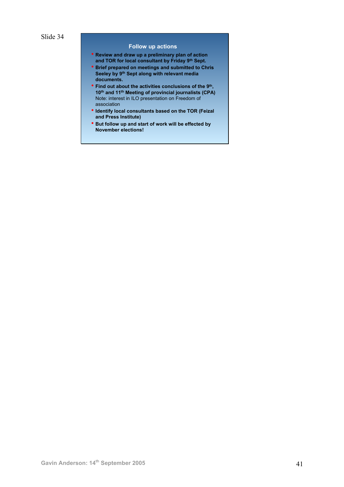#### **Follow up actions**

- **Review and draw up a preliminary plan of action and TOR for local consultant by Friday 9th Sept.**
- **Brief prepared on meetings and submitted to Chris Seeley by 9th Sept along with relevant media documents.**
- **Find out about the activities conclusions of the 9th, 10th and 11th Meeting of provincial journalists (CPA)**  Note: interest in ILO presentation on Freedom of association
- **Identify local consultants based on the TOR (Feizal and Press Institute)**
- **But follow up and start of work will be effected by November elections!**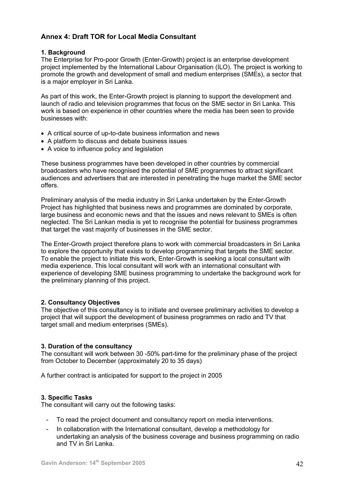# **Annex 4: Draft TOR for Local Media Consultant**

# **1. Background**

The Enterprise for Pro-poor Growth (Enter-Growth) project is an enterprise development project implemented by the International Labour Organisation (ILO). The project is working to promote the growth and development of small and medium enterprises (SMEs), a sector that is a major employer in Sri Lanka.

As part of this work, the Enter-Growth project is planning to support the development and launch of radio and television programmes that focus on the SME sector in Sri Lanka. This work is based on experience in other countries where the media has been seen to provide businesses with:

- A critical source of up-to-date business information and news
- A platform to discuss and debate business issues
- A voice to influence policy and legislation

These business programmes have been developed in other countries by commercial broadcasters who have recognised the potential of SME programmes to attract significant audiences and advertisers that are interested in penetrating the huge market the SME sector offers.

Preliminary analysis of the media industry in Sri Lanka undertaken by the Enter-Growth Project has highlighted that business news and programmes are dominated by corporate, large business and economic news and that the issues and news relevant to SMEs is often neglected. The Sri Lankan media is yet to recognise the potential for business programmes that target the vast majority of businesses in the SME sector.

The Enter-Growth project therefore plans to work with commercial broadcasters in Sri Lanka to explore the opportunity that exists to develop programming that targets the SME sector. To enable the project to initiate this work, Enter-Growth is seeking a local consultant with media experience. This local consultant will work with an international consultant with experience of developing SME business programming to undertake the background work for the preliminary planning of this project.

# **2. Consultancy Objectives**

The objective of this consultancy is to initiate and oversee preliminary activities to develop a project that will support the development of business programmes on radio and TV that target small and medium enterprises (SMEs).

# **3. Duration of the consultancy**

The consultant will work between 30 -50% part-time for the preliminary phase of the project from October to December (approximately 20 to 35 days)

A further contract is anticipated for support to the project in 2005

# **3. Specific Tasks**

The consultant will carry out the following tasks:

- To read the project document and consultancy report on media interventions.
- In collaboration with the International consultant, develop a methodology for undertaking an analysis of the business coverage and business programming on radio and TV in Sri Lanka.